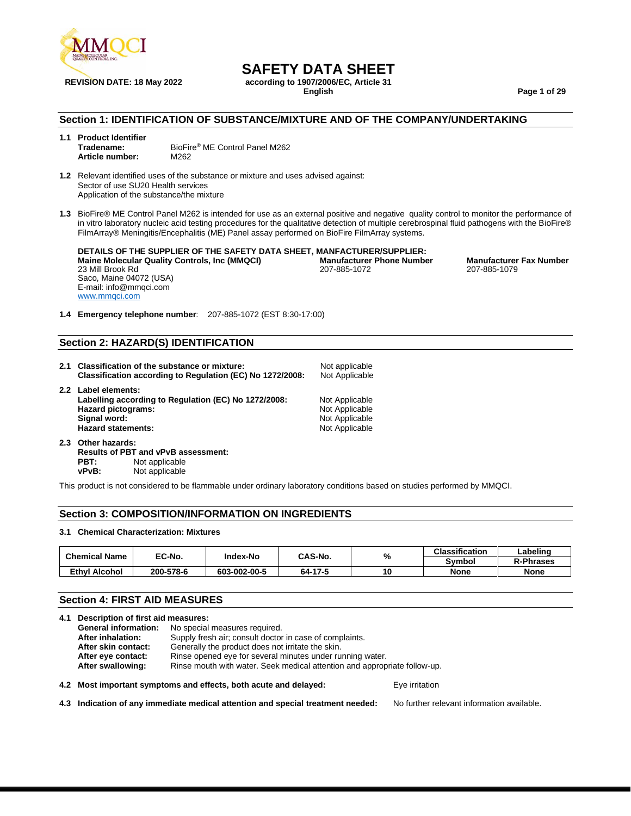

## **SAFETY DATA SHEET**

**REVISION DATE: 18 May 2022 according to 1907/2006/EC, Article 31**

**English Page 1 of 29**

#### **Section 1: IDENTIFICATION OF SUBSTANCE/MIXTURE AND OF THE COMPANY/UNDERTAKING**

#### **1.1 Product Identifier** BioFire<sup>®</sup> ME Control Panel M262 **Article number:** M262

**1.2** Relevant identified uses of the substance or mixture and uses advised against: Sector of use SU20 Health services Application of the substance/the mixture

**1.3** BioFire® ME Control Panel M262 is intended for use as an external positive and negative quality control to monitor the performance of in vitro laboratory nucleic acid testing procedures for the qualitative detection of multiple cerebrospinal fluid pathogens with the BioFire® FilmArray® Meningitis/Encephalitis (ME) Panel assay performed on BioFire FilmArray systems.

**DETAILS OF THE SUPPLIER OF THE SAFETY DATA SHEET, MANFACTURER/SUPPLIER: Maine Molecular Quality Controls, Inc (MMQCI) Manufacturer Phone Number Manufacturer Fax Number**<br>207-885-1072 **197-885-1079** 207-885-1072 **207-885-1079** 23 Mill Brook Rd Saco, Maine 04072 (USA) E-mail: info@mmqci.com [www.mmqci.com](http://www.mmqci.com/) 207-885-1072

**1.4 Emergency telephone number**: 207-885-1072 (EST 8:30-17:00)

#### **Section 2: HAZARD(S) IDENTIFICATION**

| 2.1 | Classification of the substance or mixture:<br>Classification according to Regulation (EC) No 1272/2008:                                              | Not applicable<br>Not Applicable                                     |
|-----|-------------------------------------------------------------------------------------------------------------------------------------------------------|----------------------------------------------------------------------|
|     | 2.2 Label elements:<br>Labelling according to Regulation (EC) No 1272/2008:<br><b>Hazard pictograms:</b><br>Signal word:<br><b>Hazard statements:</b> | Not Applicable<br>Not Applicable<br>Not Applicable<br>Not Applicable |

**2.3 Other hazards: Results of PBT and vPvB assessment: PBT:** Not applicable<br>vPvB: Not applicable **Not applicable** 

This product is not considered to be flammable under ordinary laboratory conditions based on studies performed by MMQCI.

#### **Section 3: COMPOSITION/INFORMATION ON INGREDIENTS**

#### **3.1 Chemical Characterization: Mixtures**

| <b>Chemical Name</b> | EC-No.    |              | CAS-No.<br>Index-No | %  | <b>Classification</b> | ∟abelinc         |
|----------------------|-----------|--------------|---------------------|----|-----------------------|------------------|
|                      |           |              |                     |    | Svmbol                | <b>R-Phrases</b> |
| Ethvl<br>Alcohol     | 200-578-6 | 603-002-00-5 | 64-17-5             | ιu | <b>None</b>           | <b>None</b>      |

#### **Section 4: FIRST AID MEASURES**

|                                                                                 | 4.1 Description of first aid measures: |                                                                           |                |  |  |
|---------------------------------------------------------------------------------|----------------------------------------|---------------------------------------------------------------------------|----------------|--|--|
|                                                                                 | <b>General information:</b>            | No special measures required.                                             |                |  |  |
|                                                                                 | After inhalation:                      | Supply fresh air; consult doctor in case of complaints.                   |                |  |  |
|                                                                                 | After skin contact:                    |                                                                           |                |  |  |
| Rinse opened eye for several minutes under running water.<br>After eye contact: |                                        |                                                                           |                |  |  |
|                                                                                 | After swallowing:                      | Rinse mouth with water. Seek medical attention and appropriate follow-up. |                |  |  |
|                                                                                 |                                        | 4.2 Most important symptoms and effects, both acute and delayed:          | Eye irritation |  |  |

**4.3 Indication of any immediate medical attention and special treatment needed:** No further relevant information available.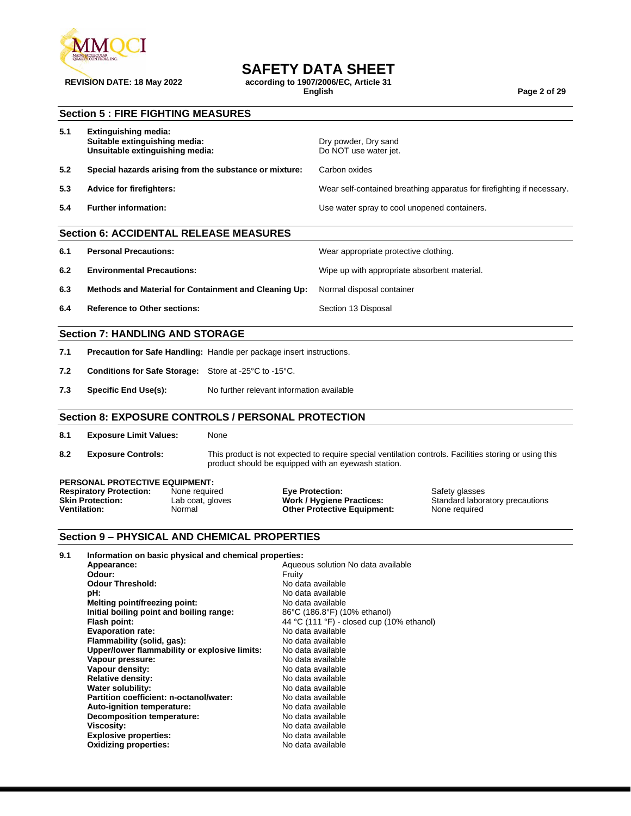

## **SAFETY DATA SHEET**

**REVISION DATE: 18 May 2022 according to 1907/2006/EC, Article 31**

**English Page 2 of 29**

#### **Section 5 : FIRE FIGHTING MEASURES**

| 5.1 | Extinguishing media:<br>Suitable extinguishing media:<br>Unsuitable extinguishing media: | Dry powder, Dry sand<br>Do NOT use water jet.                          |
|-----|------------------------------------------------------------------------------------------|------------------------------------------------------------------------|
| 5.2 | Special hazards arising from the substance or mixture:                                   | Carbon oxides                                                          |
| 5.3 | Advice for firefighters:                                                                 | Wear self-contained breathing apparatus for firefighting if necessary. |
| 5.4 | <b>Further information:</b>                                                              | Use water spray to cool unopened containers.                           |
|     |                                                                                          |                                                                        |

## **Section 6: ACCIDENTAL RELEASE MEASURES**

| <b>Personal Precautions:</b><br>6.1 |  |
|-------------------------------------|--|
|-------------------------------------|--|

- **6.2 Environmental Precautions:** Wipe up with appropriate absorbent material.
- **6.3 Methods and Material for Containment and Cleaning Up:** Normal disposal container
- **6.4 Reference to Other sections: Section 13 Disposal**

#### **Section 7: HANDLING AND STORAGE**

- **7.1 Precaution for Safe Handling:** Handle per package insert instructions.
- **7.2 Conditions for Safe Storage:** Store at -25°C to -15°C.
- **7.3 Specific End Use(s):** No further relevant information available

#### **Section 8: EXPOSURE CONTROLS / PERSONAL PROTECTION**

- **8.1 Exposure Limit Values:** None
- 

**8.2 Exposure Controls:** This product is not expected to require special ventilation controls. Facilities storing or using this product should be equipped with an eyewash station.

Wear appropriate protective clothing.

#### **PERSONAL PROTECTIVE EQUIPMENT:**

| <b>Respiratory Protection:</b> | None required    | <b>Eve Protection:</b>             | Safety glasses                  |
|--------------------------------|------------------|------------------------------------|---------------------------------|
| <b>Skin Protection:</b>        | Lab coat, gloves | <b>Work / Hygiene Practices:</b>   | Standard laboratory precautions |
| Ventilation:                   | Normal           | <b>Other Protective Equipment:</b> | None reauired                   |

#### **Section 9 – PHYSICAL AND CHEMICAL PROPERTIES**

| 9.1 | Information on basic physical and chemical properties: |                                           |
|-----|--------------------------------------------------------|-------------------------------------------|
|     | Appearance:                                            | Aqueous solution No data available        |
|     | Odour:                                                 | Fruity                                    |
|     | <b>Odour Threshold:</b>                                | No data available                         |
|     | pH:                                                    | No data available                         |
|     | Melting point/freezing point:                          | No data available                         |
|     | Initial boiling point and boiling range:               | 86°C (186.8°F) (10% ethanol)              |
|     | Flash point:                                           | 44 °C (111 °F) - closed cup (10% ethanol) |
|     | <b>Evaporation rate:</b>                               | No data available                         |
|     | Flammability (solid, gas):                             | No data available                         |
|     | Upper/lower flammability or explosive limits:          | No data available                         |
|     | Vapour pressure:                                       | No data available                         |
|     | Vapour density:                                        | No data available                         |
|     | <b>Relative density:</b>                               | No data available                         |
|     | <b>Water solubility:</b>                               | No data available                         |
|     | Partition coefficient: n-octanol/water:                | No data available                         |
|     | Auto-ignition temperature:                             | No data available                         |
|     | <b>Decomposition temperature:</b>                      | No data available                         |
|     | <b>Viscosity:</b>                                      | No data available                         |
|     | <b>Explosive properties:</b>                           | No data available                         |
|     | <b>Oxidizing properties:</b>                           | No data available                         |
|     |                                                        |                                           |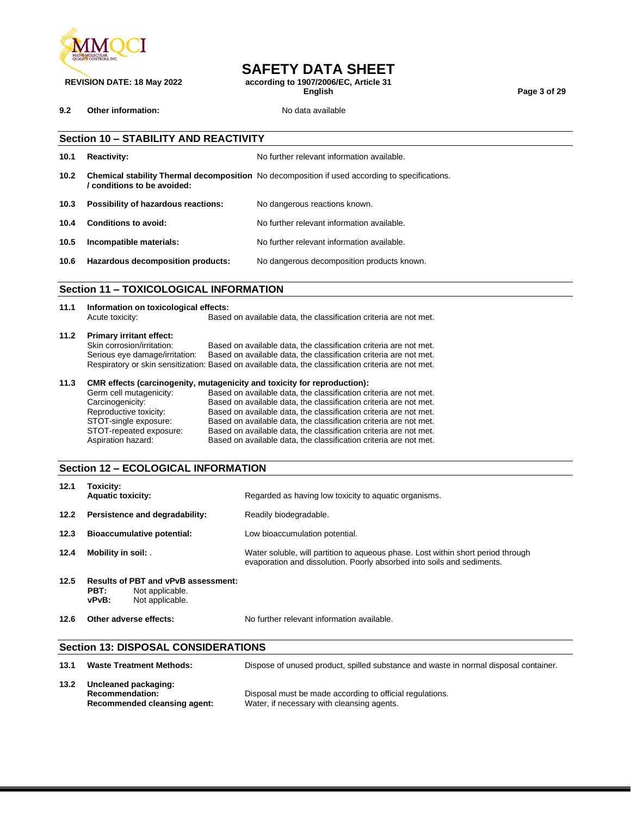

**9.2 Other information:** No data available

**SAFETY DATA SHEET**

**REVISION DATE: 18 May 2022 according to 1907/2006/EC, Article 31**

**English Page 3 of 29**

|                   | <b>Section 10 - STABILITY AND REACTIVITY</b>  |                                                                                                       |  |  |  |
|-------------------|-----------------------------------------------|-------------------------------------------------------------------------------------------------------|--|--|--|
| 10.1              | <b>Reactivity:</b>                            | No further relevant information available.                                                            |  |  |  |
| 10.2 <sub>1</sub> | conditions to be avoided:                     | <b>Chemical stability Thermal decomposition</b> No decomposition if used according to specifications. |  |  |  |
| 10.3              | Possibility of hazardous reactions:           | No dangerous reactions known.                                                                         |  |  |  |
| 10.4              | Conditions to avoid:                          | No further relevant information available.                                                            |  |  |  |
| 10.5              | Incompatible materials:                       | No further relevant information available.                                                            |  |  |  |
| 10.6              | Hazardous decomposition products:             | No dangerous decomposition products known.                                                            |  |  |  |
|                   |                                               |                                                                                                       |  |  |  |
|                   | <b>Section 11 - TOXICOLOGICAL INFORMATION</b> |                                                                                                       |  |  |  |

# **11.1 Information on toxicological effects:**

Based on available data, the classification criteria are not met.

# **11.2 Primary irritant effect:**

Skin corrosion/irritation: Based on available data, the classification criteria are not met.<br>Serious eye damage/irritation: Based on available data, the classification criteria are not met. Based on available data, the classification criteria are not met. Respiratory or skin sensitization: Based on available data, the classification criteria are not met.

#### **11.3 CMR effects (carcinogenity, mutagenicity and toxicity for reproduction):**

| Germ cell mutagenicity: | Based on available data, the classification criteria are not met. |
|-------------------------|-------------------------------------------------------------------|
| Carcinogenicity:        | Based on available data, the classification criteria are not met. |
| Reproductive toxicity:  | Based on available data, the classification criteria are not met. |
| STOT-single exposure:   | Based on available data, the classification criteria are not met. |
| STOT-repeated exposure: | Based on available data, the classification criteria are not met. |
| Aspiration hazard:      | Based on available data, the classification criteria are not met. |
|                         |                                                                   |

#### **Section 12 – ECOLOGICAL INFORMATION**

| 12.1 | Toxicity:<br><b>Aquatic toxicity:</b>                                                      | Regarded as having low toxicity to aquatic organisms.                                                                                                      |
|------|--------------------------------------------------------------------------------------------|------------------------------------------------------------------------------------------------------------------------------------------------------------|
| 12.2 | Persistence and degradability:                                                             | Readily biodegradable.                                                                                                                                     |
| 12.3 | <b>Bioaccumulative potential:</b>                                                          | Low bioaccumulation potential.                                                                                                                             |
| 12.4 | Mobility in soil: .                                                                        | Water soluble, will partition to aqueous phase. Lost within short period through<br>evaporation and dissolution. Poorly absorbed into soils and sediments. |
| 12.5 | Results of PBT and vPvB assessment:<br>PBT:<br>Not applicable.<br>Not applicable.<br>vPvB: |                                                                                                                                                            |
| 12.6 | Other adverse effects:                                                                     | No further relevant information available.                                                                                                                 |

#### **Section 13: DISPOSAL CONSIDERATIONS**

| 13.1 | <b>Waste Treatment Methods:</b>                                                | Dispose of unused product, spilled substance and waste in normal disposal container.                   |
|------|--------------------------------------------------------------------------------|--------------------------------------------------------------------------------------------------------|
| 13.2 | Uncleaned packaging:<br><b>Recommendation:</b><br>Recommended cleansing agent: | Disposal must be made according to official regulations.<br>Water, if necessary with cleansing agents. |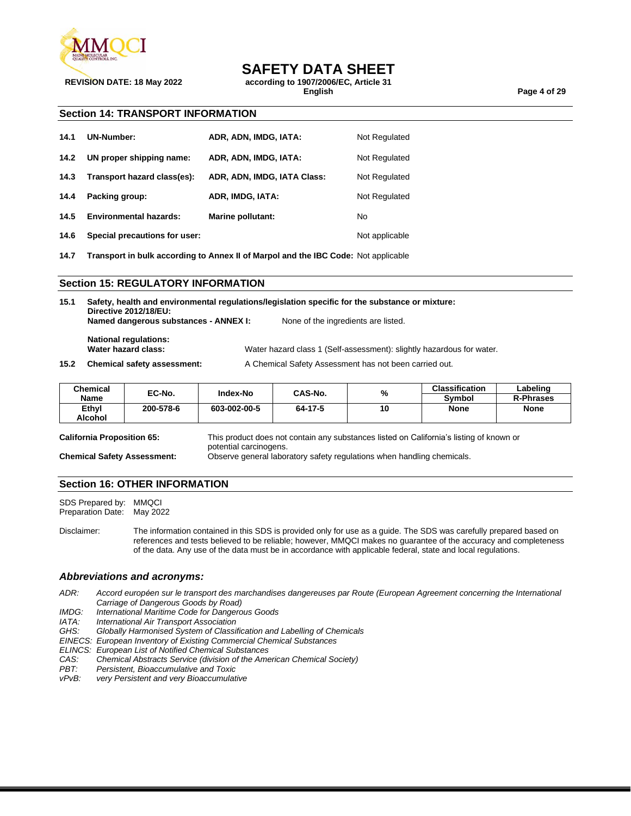

## **SAFETY DATA SHEET**

**REVISION DATE: 18 May 2022 according to 1907/2006/EC, Article 31**

**English Page 4 of 29**

#### **Section 14: TRANSPORT INFORMATION**

| 14.1 | <b>UN-Number:</b>             | ADR, ADN, IMDG, IATA:       | Not Regulated  |
|------|-------------------------------|-----------------------------|----------------|
| 14.2 | UN proper shipping name:      | ADR, ADN, IMDG, IATA:       | Not Regulated  |
| 14.3 | Transport hazard class(es):   | ADR, ADN, IMDG, IATA Class: | Not Regulated  |
| 14.4 | Packing group:                | ADR, IMDG, IATA:            | Not Regulated  |
| 14.5 | <b>Environmental hazards:</b> | Marine pollutant:           | No             |
| 14.6 | Special precautions for user: |                             | Not applicable |

**14.7 Transport in bulk according to Annex II of Marpol and the IBC Code:** Not applicable

#### **Section 15: REGULATORY INFORMATION**

| 15.1 | Safety, health and environmental regulations/legislation specific for the substance or mixture:<br>Directive 2012/18/EU: |  |                                                                       |  |  |
|------|--------------------------------------------------------------------------------------------------------------------------|--|-----------------------------------------------------------------------|--|--|
|      | Named dangerous substances - ANNEX I:                                                                                    |  | None of the ingredients are listed.                                   |  |  |
|      | <b>National regulations:</b><br>Water hazard class:                                                                      |  | Water hazard class 1 (Self-assessment): slightly hazardous for water. |  |  |
|      |                                                                                                                          |  |                                                                       |  |  |
| 15.2 | <b>Chemical safety assessment:</b>                                                                                       |  | A Chemical Safety Assessment has not been carried out.                |  |  |

| Chemical | EC-No.    | Index-No     | CAS-No. | %  | <b>Classification</b> | Labeling         |
|----------|-----------|--------------|---------|----|-----------------------|------------------|
| Name     |           |              |         |    | Svmbol                | <b>R-Phrases</b> |
| Ethyl    | 200-578-6 | 603-002-00-5 | 64-17-5 | 10 | <b>None</b>           | <b>None</b>      |
| Alcohol  |           |              |         |    |                       |                  |

**California Proposition 65:** This product does not contain any substances listed on California's listing of known or potential carcinogens. **Chemical Safety Assessment:** Observe general laboratory safety regulations when handling chemicals.

#### **Section 16: OTHER INFORMATION**

SDS Prepared by: MMQCI Preparation Date: May 2022

Disclaimer: The information contained in this SDS is provided only for use as a guide. The SDS was carefully prepared based on references and tests believed to be reliable; however, MMQCI makes no guarantee of the accuracy and completeness of the data. Any use of the data must be in accordance with applicable federal, state and local regulations.

#### *Abbreviations and acronyms:*

*ADR: Accord européen sur le transport des marchandises dangereuses par Route (European Agreement concerning the International Carriage of Dangerous Goods by Road)*

*IMDG: International Maritime Code for Dangerous Goods*

**International Air Transport Association** 

*GHS: Globally Harmonised System of Classification and Labelling of Chemicals*

*EINECS: European Inventory of Existing Commercial Chemical Substances*

*ELINCS: European List of Notified Chemical Substances*

*CAS: Chemical Abstracts Service (division of the American Chemical Society)*

*PBT: Persistent, Bioaccumulative and Toxic*

very Persistent and very Bioaccumulative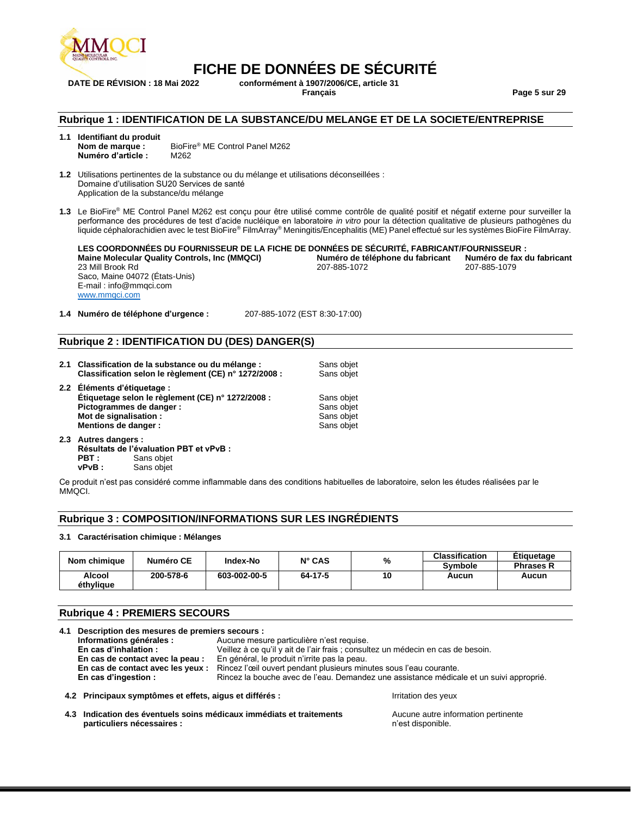

**DATE DE RÉVISION : 18 Mai 2022 conformément à 1907/2006/CE, article 31 Français Page 5 sur 29**

#### **Rubrique 1 : IDENTIFICATION DE LA SUBSTANCE/DU MELANGE ET DE LA SOCIETE/ENTREPRISE**

- **1.1 Identifiant du produit** BioFire<sup>®</sup> ME Control Panel M262<br>M262  $Numéro d'article :$
- **1.2** Utilisations pertinentes de la substance ou du mélange et utilisations déconseillées : Domaine d'utilisation SU20 Services de santé Application de la substance/du mélange
- **1.3** Le BioFire® ME Control Panel M262 est conçu pour être utilisé comme contrôle de qualité positif et négatif externe pour surveiller la performance des procédures de test d'acide nucléique en laboratoire *in vitro* pour la détection qualitative de plusieurs pathogènes du liquide céphalorachidien avec le test BioFire® FilmArray® Meningitis/Encephalitis (ME) Panel effectué sur les systèmes BioFire FilmArray.

**LES COORDONNÉES DU FOURNISSEUR DE LA FICHE DE DONNÉES DE SÉCURITÉ, FABRICANT/FOURNISSEUR : Maine Molecular Quality Controls, Inc (MMQCI) Numéro de téléphone du fabricant Numéro de fax du fabricant** 23 Mill Brook Rd Saco, Maine 04072 (États-Unis) E-mail : info@mmqci.com [www.mmqci.com](http://www.mmqci.com/) 207-885-1072

**1.4 Numéro de téléphone d'urgence :** 207-885-1072 (EST 8:30-17:00)

#### **Rubrique 2 : IDENTIFICATION DU (DES) DANGER(S)**

- **2.1 Classification de la substance ou du mélange :** Sans objet Classification selon le règlement (CE) n° 1272/2008 : Sans objet **Classification selon le règlement (CE) n° 1272/2008 : 2.2 Éléments d'étiquetage : Étiquetage selon le règlement (CE) n° 1272/2008 : Sans objet<br><b>Pictogrammes de danger :** Sans objet **Pictogrammes de danger :**<br> **Mot de signalisation :** Sans objet<br>
Sans objet **Mot de signalisation : Sans objet (Sans objet) and Sans objet (Sans objet (Sans objet) and Sans objet (Sans objet (Sans objet) and Sans objet (Sans objet) and Sans objet (Sans objet (Sans objet) and Sans objet (Sans objet Mentions de danger :**
- **2.3 Autres dangers : Résultats de l'évaluation PBT et vPvB : Sans objet vPvB :** Sans objet

Ce produit n'est pas considéré comme inflammable dans des conditions habituelles de laboratoire, selon les études réalisées par le MMQCI.

#### **Rubrique 3 : COMPOSITION/INFORMATIONS SUR LES INGRÉDIENTS**

#### **3.1 Caractérisation chimique : Mélanges**

| Nom chimique        | Numéro CE | Index-No     | $N^{\circ}$ CAS | %  | <b>Classification</b><br><b>Symbole</b> | <b>Etiquetage</b><br><b>Phrases R</b> |
|---------------------|-----------|--------------|-----------------|----|-----------------------------------------|---------------------------------------|
| Alcool<br>éthvliaue | 200-578-6 | 603-002-00-5 | 64-17-5         | 10 | Aucun                                   | Aucun                                 |

#### **Rubrique 4 : PREMIERS SECOURS**

| 4.1 Description des mesures de premiers secours :       |                                              |                                                                                         |  |
|---------------------------------------------------------|----------------------------------------------|-----------------------------------------------------------------------------------------|--|
| Informations générales :                                | Aucune mesure particulière n'est requise.    |                                                                                         |  |
| En cas d'inhalation :                                   |                                              | Veillez à ce qu'il y ait de l'air frais ; consultez un médecin en cas de besoin.        |  |
| En cas de contact avec la peau :                        | En général, le produit n'irrite pas la peau. |                                                                                         |  |
| En cas de contact avec les yeux :                       |                                              | Rincez l'œil ouvert pendant plusieurs minutes sous l'eau courante.                      |  |
| En cas d'ingestion :                                    |                                              | Rincez la bouche avec de l'eau. Demandez une assistance médicale et un suivi approprié. |  |
| 4.2 Principaux symptômes et effets, aigus et différés : |                                              | Irritation des yeux                                                                     |  |

**4.3 Indication des éventuels soins médicaux immédiats et traitements particuliers nécessaires :**

Aucune autre information pertinente n'est disponible.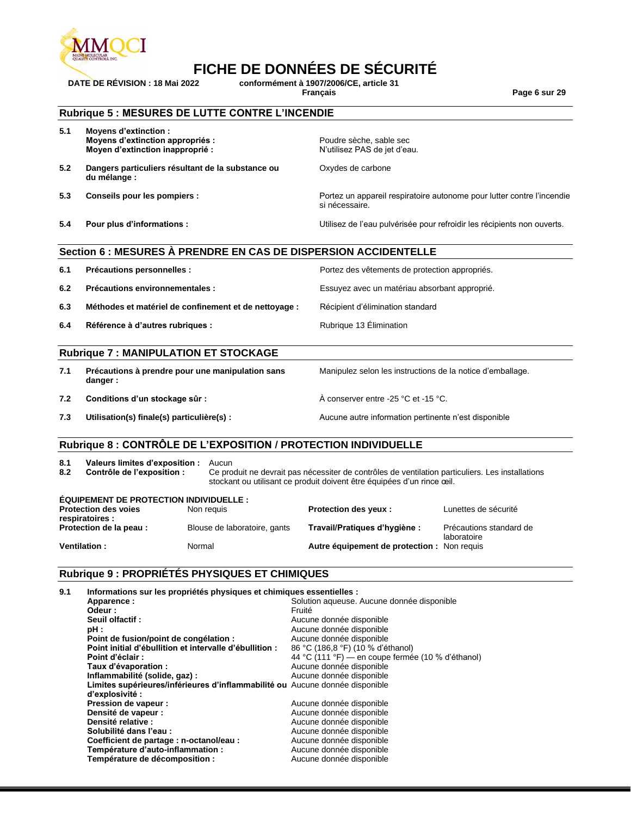

**DATE DE RÉVISION : 18 Mai 2022 conformément à 1907/2006/CE, article 31 Français Page 6 sur 29**

#### **Rubrique 5 : MESURES DE LUTTE CONTRE L'INCENDIE**

| 5.1 | Moyens d'extinction :<br>Moyens d'extinction appropriés :<br>Moyen d'extinction inapproprié : | Poudre sèche, sable sec<br>N'utilisez PAS de jet d'eau.                                  |
|-----|-----------------------------------------------------------------------------------------------|------------------------------------------------------------------------------------------|
| 5.2 | Dangers particuliers résultant de la substance ou<br>du mélange :                             | Oxydes de carbone                                                                        |
| 5.3 | Conseils pour les pompiers :                                                                  | Portez un appareil respiratoire autonome pour lutter contre l'incendie<br>si nécessaire. |
| 5.4 | Pour plus d'informations :                                                                    | Utilisez de l'eau pulvérisée pour refroidir les récipients non ouverts.                  |

#### **Section 6 : MESURES À PRENDRE EN CAS DE DISPERSION ACCIDENTELLE**

| 6.1 | Précautions personnelles :                            | Portez des vêtements de protection appropriés. |
|-----|-------------------------------------------------------|------------------------------------------------|
| 6.2 | Précautions environnementales :                       | Essuyez avec un matériau absorbant approprié.  |
| 6.3 | Méthodes et matériel de confinement et de nettoyage : | Récipient d'élimination standard               |
| 6.4 | Référence à d'autres rubriques :                      | Rubrique 13 Elimination                        |

#### **Rubrique 7 : MANIPULATION ET STOCKAGE**

| 7.1 | Précautions à prendre pour une manipulation sans<br>danger : | Manipulez selon les instructions de la notice d'emballage. |
|-----|--------------------------------------------------------------|------------------------------------------------------------|
| 7.2 | Conditions d'un stockage sûr :                               | A conserver entre -25 °C et -15 °C.                        |
| 7.3 | Utilisation(s) finale(s) particulière(s) :                   | Aucune autre information pertinente n'est disponible       |

#### **Rubrique 8 : CONTRÔLE DE L'EXPOSITION / PROTECTION INDIVIDUELLE**

| 8.1<br>8.2                                     | Valeurs limites d'exposition :<br>Contrôle de l'exposition : | Aucun<br>Ce produit ne devrait pas nécessiter de contrôles de ventilation particuliers. Les installations<br>stockant ou utilisant ce produit doivent être équipées d'un rince ceil. |  |  |  |
|------------------------------------------------|--------------------------------------------------------------|--------------------------------------------------------------------------------------------------------------------------------------------------------------------------------------|--|--|--|
| <b>ÉQUIPEMENT DE PROTECTION INDIVIDUELLE :</b> |                                                              |                                                                                                                                                                                      |  |  |  |

| <b>Protection des voies</b><br>respiratoires : | Non reguis                   | <b>Protection des veux:</b>                 | Lunettes de sécurité                   |
|------------------------------------------------|------------------------------|---------------------------------------------|----------------------------------------|
| Protection de la peau:                         | Blouse de laboratoire, gants | Travail/Pratiques d'hygiène :               | Précautions standard de<br>laboratoire |
| Ventilation:                                   | Normal                       | Autre équipement de protection : Non requis |                                        |

### **Rubrique 9 : PROPRIÉTÉS PHYSIQUES ET CHIMIQUES**

**9.1 Informations sur les propriétés physiques et chimiques essentielles :** Solution aqueuse. Aucune donnée disponible<br>Fruité Odeur :<br>Seuil olfactif : **Seuil olfactif :**<br> **pH** :<br> **a** Aucune donnée disponible<br> **pH** : Aucune donnée disponible<br>Aucune donnée disponible **Point de fusion/point de congélation :** Aucune donnée disponible<br>**Point initial d'ébullition et intervalle d'ébullition :** 86 °C (186,8 °F) (10 % d'éthanol) Point initial d'ébullition et intervalle d'ébullition :<br>Point d'éclair : **Point d'éclair :**  $\begin{array}{c} 44 \text{ °C} (111 \text{ °F}) - \text{en couple fermée (10 % d'ethanol)} \\ \text{Taux d'évaporation : \end{array}$ Aucune donnée disponible<br>Aucune donnée disponible **Inflammabilité (solide, gaz) : Limites supérieures/inférieures d'inflammabilité ou**  Aucune donnée disponible **d'explosivité : Pression de vapeur :**<br> **Densité de vapeur :**<br> **Densité de vapeur :**<br> **Aucune donnée disponible Densité de vapeur :**<br> **Densité relative :**<br> **Densité relative :**<br> **Aucune donnée disponible Densité relative :**<br> **Solubilité dans l'eau :**<br> **Solubilité dans l'eau :**<br> **Aucune donnée disponible** Aucune donnée disponible<br>Aucune donnée disponible **Coefficient de partage : n-octanol/eau : Température d'auto-inflammation :** Aucune donnée disponible<br> **Température de décomposition :** Aucune donnée disponible **Température de décomposition :**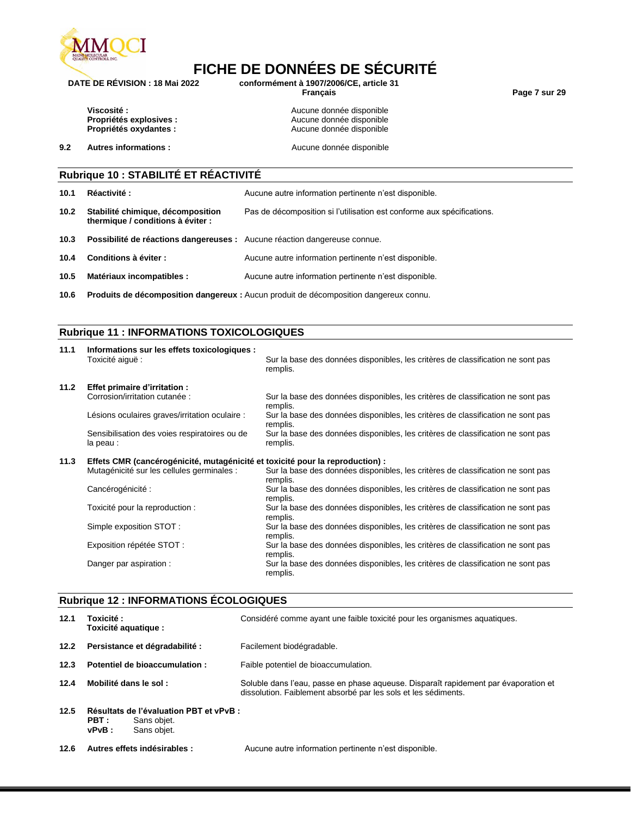

**DATE DE RÉVISION : 18 Mai 2022 conformément à 1907/2006/CE, article 31**

**Français Page 7 sur 29**

**Viscosité :**<br> **Propriétés explosives :**<br> **Aucune donnée disponible**<br> **Aucune donnée disponible Propriétés explosives :**<br> **Propriétés oxydantes :**<br> **Propriétés oxydantes :**<br> **Aucune donnée disponible Propriétés oxydantes :** Aucune donnée disponible

**9.2 Autres informations : Aucune donnée disponible** 

### **Rubrique 10 : STABILITÉ ET RÉACTIVITÉ**

| 10.1              | <b>Réactivité:</b>                                                        | Aucune autre information pertinente n'est disponible.                  |
|-------------------|---------------------------------------------------------------------------|------------------------------------------------------------------------|
| 10.2 <sub>1</sub> | Stabilité chimique, décomposition<br>thermique / conditions à éviter :    | Pas de décomposition si l'utilisation est conforme aux spécifications. |
| 10.3              | Possibilité de réactions dangereuses : Aucune réaction dangereuse connue. |                                                                        |
| 10.4              | Conditions à éviter :                                                     | Aucune autre information pertinente n'est disponible.                  |
| 10.5              | Matériaux incompatibles :                                                 | Aucune autre information pertinente n'est disponible.                  |
|                   |                                                                           |                                                                        |

**10.6 Produits de décomposition dangereux :** Aucun produit de décomposition dangereux connu.

#### **Rubrique 11 : INFORMATIONS TOXICOLOGIQUES**

| 11.1 | Informations sur les effets toxicologiques :<br>Toxicité aiguë :              | Sur la base des données disponibles, les critères de classification ne sont pas<br>remplis. |  |  |  |
|------|-------------------------------------------------------------------------------|---------------------------------------------------------------------------------------------|--|--|--|
| 11.2 | Effet primaire d'irritation :                                                 |                                                                                             |  |  |  |
|      | Corrosion/irritation cutanée :                                                | Sur la base des données disponibles, les critères de classification ne sont pas<br>remplis. |  |  |  |
|      | Lésions oculaires graves/irritation oculaire :                                | Sur la base des données disponibles, les critères de classification ne sont pas<br>remplis. |  |  |  |
|      | Sensibilisation des voies respiratoires ou de<br>la peau :                    | Sur la base des données disponibles, les critères de classification ne sont pas<br>remplis. |  |  |  |
| 11.3 | Effets CMR (cancérogénicité, mutagénicité et toxicité pour la reproduction) : |                                                                                             |  |  |  |
|      | Mutagénicité sur les cellules germinales :                                    | Sur la base des données disponibles, les critères de classification ne sont pas<br>remplis. |  |  |  |
|      | Cancérogénicité :                                                             | Sur la base des données disponibles, les critères de classification ne sont pas<br>remplis. |  |  |  |
|      | Toxicité pour la reproduction :                                               | Sur la base des données disponibles, les critères de classification ne sont pas<br>remplis. |  |  |  |
|      | Simple exposition STOT:                                                       | Sur la base des données disponibles, les critères de classification ne sont pas<br>remplis. |  |  |  |
|      | Exposition répétée STOT :                                                     | Sur la base des données disponibles, les critères de classification ne sont pas<br>remplis. |  |  |  |
|      | Danger par aspiration :                                                       | Sur la base des données disponibles, les critères de classification ne sont pas<br>remplis. |  |  |  |

#### **Rubrique 12 : INFORMATIONS ÉCOLOGIQUES**

| 12.1 | Toxicité:<br>Toxicité aquatique :                                                          |  | Considéré comme ayant une faible toxicité pour les organismes aquatiques.                                                                             |
|------|--------------------------------------------------------------------------------------------|--|-------------------------------------------------------------------------------------------------------------------------------------------------------|
| 12.2 | Persistance et dégradabilité :                                                             |  | Facilement biodégradable.                                                                                                                             |
| 12.3 | Potentiel de bioaccumulation :                                                             |  | Faible potentiel de bioaccumulation.                                                                                                                  |
| 12.4 | Mobilité dans le sol :                                                                     |  | Soluble dans l'eau, passe en phase aqueuse. Disparaît rapidement par évaporation et<br>dissolution. Faiblement absorbé par les sols et les sédiments. |
| 12.5 | Résultats de l'évaluation PBT et vPvB :<br>PBT :<br>Sans objet.<br>$vPvB$ :<br>Sans objet. |  |                                                                                                                                                       |
| 12.6 | Autres effets indésirables :                                                               |  | Aucune autre information pertinente n'est disponible.                                                                                                 |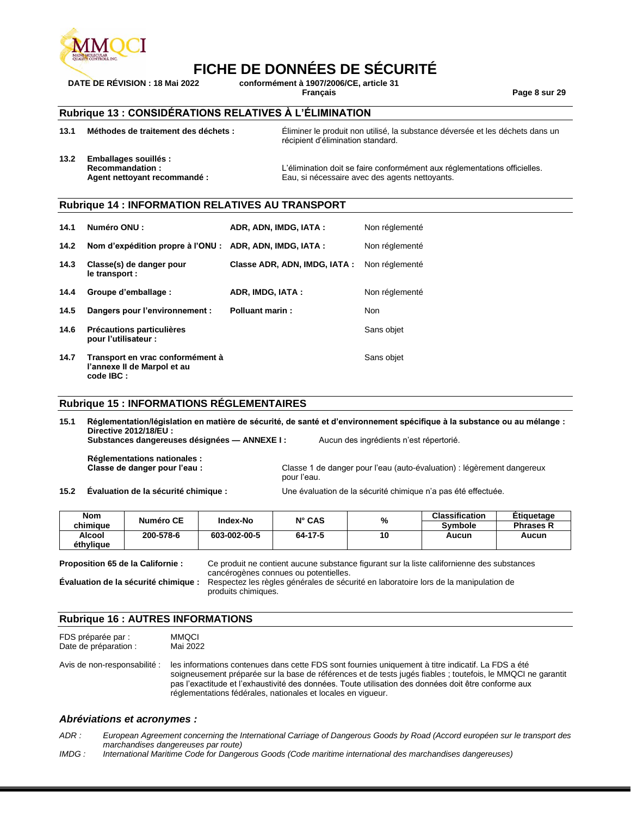

**DATE DE RÉVISION : 18 Mai 2022 conformément à 1907/2006/CE, article 31**

**Français Page 8 sur 29**

### **Rubrique 13 : CONSIDÉRATIONS RELATIVES À L'ÉLIMINATION**

| 13.1 | Méthodes de traitement des déchets :                                         |                        | Eliminer le produit non utilisé, la substance déversée et les déchets dans un<br>récipient d'élimination standard. |                                                                                                                             |  |  |
|------|------------------------------------------------------------------------------|------------------------|--------------------------------------------------------------------------------------------------------------------|-----------------------------------------------------------------------------------------------------------------------------|--|--|
| 13.2 | Emballages souillés :<br>Recommandation:<br>Agent nettoyant recommandé :     |                        |                                                                                                                    | L'élimination doit se faire conformément aux réglementations officielles.<br>Eau, si nécessaire avec des agents nettoyants. |  |  |
|      | <b>Rubrique 14 : INFORMATION RELATIVES AU TRANSPORT</b>                      |                        |                                                                                                                    |                                                                                                                             |  |  |
| 14.1 | Numéro ONU:                                                                  |                        | ADR, ADN, IMDG, IATA:                                                                                              | Non réglementé                                                                                                              |  |  |
| 14.2 | Nom d'expédition propre à l'ONU : ADR, ADN, IMDG, IATA :                     |                        |                                                                                                                    | Non réglementé                                                                                                              |  |  |
| 14.3 | Classe(s) de danger pour<br>le transport :                                   |                        | Classe ADR, ADN, IMDG, IATA:                                                                                       | Non réglementé                                                                                                              |  |  |
| 14.4 | Groupe d'emballage :                                                         | ADR, IMDG, IATA:       |                                                                                                                    | Non réglementé                                                                                                              |  |  |
| 14.5 | Dangers pour l'environnement :                                               | <b>Polluant marin:</b> |                                                                                                                    | <b>Non</b>                                                                                                                  |  |  |
| 14.6 | Précautions particulières<br>pour l'utilisateur :                            |                        |                                                                                                                    | Sans objet                                                                                                                  |  |  |
| 14.7 | Transport en vrac conformément à<br>l'annexe II de Marpol et au<br>code IBC: |                        |                                                                                                                    | Sans objet                                                                                                                  |  |  |
|      | <b>Rubrique 15 : INFORMATIONS RÉGLEMENTAIRES</b>                             |                        |                                                                                                                    |                                                                                                                             |  |  |

**15.1 Réglementation/législation en matière de sécurité, de santé et d'environnement spécifique à la substance ou au mélange : Directive 2012/18/EU : Substances dangereuses désignées — ANNEXE I :** Aucun des ingrédients n'est répertorié. **Réglementations nationales :** Classe 1 de danger pour l'eau (auto-évaluation) : légèrement dangereux pour l'eau.

**15.2 Évaluation de la sécurité chimique :** Une évaluation de la sécurité chimique n'a pas été effectuée.

| <b>Nom</b> | Numéro CE | <b>Index-No</b> | $N^{\circ}$ CAS | %  | <b>Classification</b> | Etiquetage       |
|------------|-----------|-----------------|-----------------|----|-----------------------|------------------|
| chimiaue   |           |                 |                 |    | Svmbole               | <b>Phrases R</b> |
| Alcool     | 200-578-6 | 603-002-00-5    | 64-17-5         | 10 | Aucun                 | Aucun            |
| éthvliaue  |           |                 |                 |    |                       |                  |

**Proposition 65 de la Californie :** Ce produit ne contient aucune substance figurant sur la liste californienne des substances cancérogènes connues ou potentielles. **Évaluation de la sécurité chimique :** Respectez les règles générales de sécurité en laboratoire lors de la manipulation de produits chimiques.

#### **Rubrique 16 : AUTRES INFORMATIONS**

|                       | taa infannaatianaa aantan:::aa danaa : |
|-----------------------|----------------------------------------|
| Date de préparation : | Mai 2022                               |
| FDS préparée par :    | <b>MMQCI</b>                           |

Avis de non-responsabilité : les informations contenues dans cette FDS sont fournies uniquement à titre indicatif. La FDS a été soigneusement préparée sur la base de références et de tests jugés fiables ; toutefois, le MMQCI ne garantit pas l'exactitude et l'exhaustivité des données. Toute utilisation des données doit être conforme aux réglementations fédérales, nationales et locales en vigueur.

#### *Abréviations et acronymes :*

*ADR : European Agreement concerning the International Carriage of Dangerous Goods by Road (Accord européen sur le transport des marchandises dangereuses par route)*

*IMDG : International Maritime Code for Dangerous Goods (Code maritime international des marchandises dangereuses)*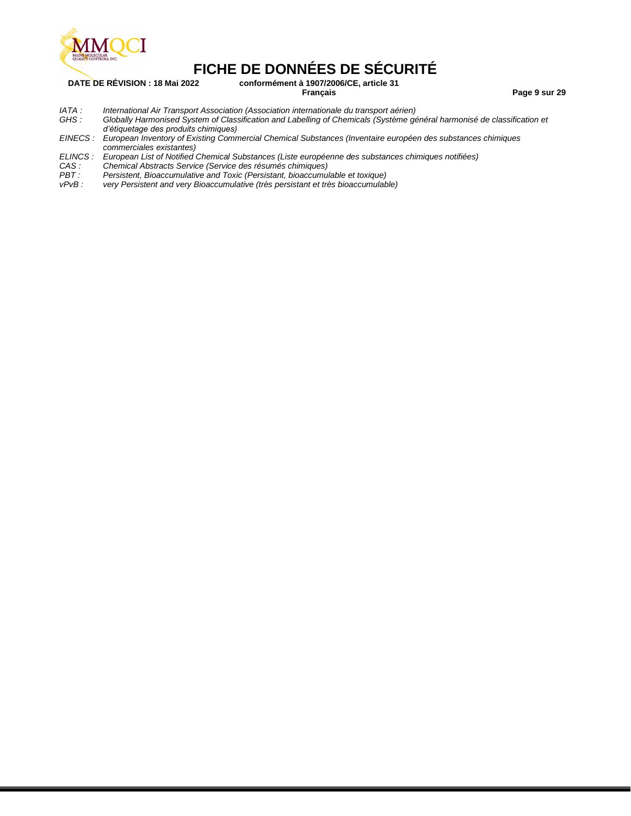

**DATE DE RÉVISION : 18 Mai 2022 conformément à 1907/2006/CE, article 31**

**Français Page 9 sur 29**

- 
- *IATA : International Air Transport Association (Association internationale du transport aérien) GHS : Globally Harmonised System of Classification and Labelling of Chemicals (Système général harmonisé de classification et d'étiquetage des produits chimiques)*
- *EINECS : European Inventory of Existing Commercial Chemical Substances (Inventaire européen des substances chimiques commerciales existantes)*
- *ELINCS : European List of Notified Chemical Substances (Liste européenne des substances chimiques notifiées)*
- *CAS : Chemical Abstracts Service (Service des résumés chimiques)*
- *Persistent, Bioaccumulative and Toxic (Persistant, bioaccumulable et toxique)*
- *vPvB : very Persistent and very Bioaccumulative (très persistant et très bioaccumulable)*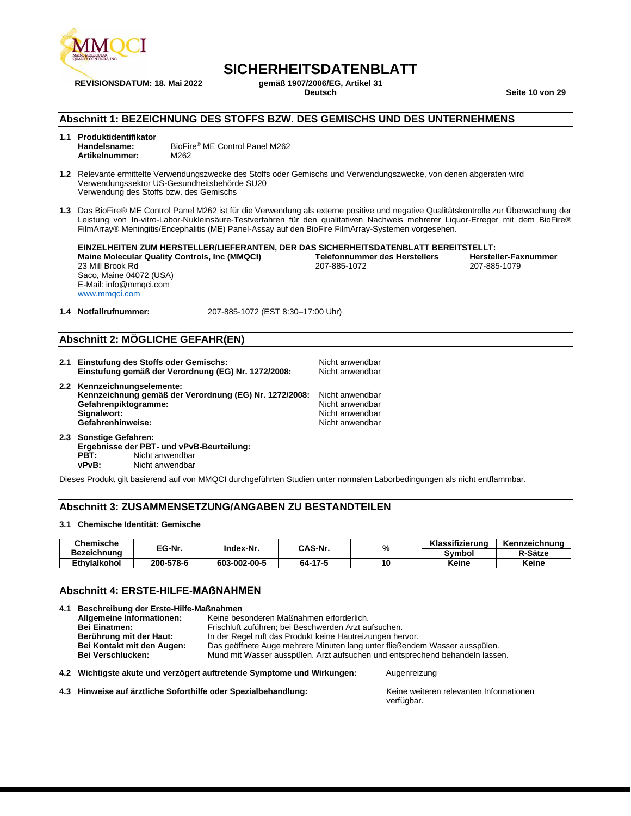

# **SICHERHEITSDATENBLATT**

**REVISIONSDATUM: 18. Mai 2022 gemäß 1907/2006/EG, Artikel 31 Deutsch Seite 10 von 29**

#### **Abschnitt 1: BEZEICHNUNG DES STOFFS BZW. DES GEMISCHS UND DES UNTERNEHMENS**

- **1.1 Produktidentifikator** BioFire<sup>®</sup> ME Control Panel M262<br>M262 **Artikelnummer:**
- **1.2** Relevante ermittelte Verwendungszwecke des Stoffs oder Gemischs und Verwendungszwecke, von denen abgeraten wird Verwendungssektor US-Gesundheitsbehörde SU20 Verwendung des Stoffs bzw. des Gemischs
- **1.3** Das BioFire® ME Control Panel M262 ist für die Verwendung als externe positive und negative Qualitätskontrolle zur Überwachung der Leistung von In-vitro-Labor-Nukleinsäure-Testverfahren für den qualitativen Nachweis mehrerer Liquor-Erreger mit dem BioFire® FilmArray® Meningitis/Encephalitis (ME) Panel-Assay auf den BioFire FilmArray-Systemen vorgesehen.

**EINZELHEITEN ZUM HERSTELLER/LIEFERANTEN, DER DAS SICHERHEITSDATENBLATT BEREITSTELLT: Maine Molecular Quality Controls, Inc (MMQCI) Telefonnumm**<br>23 Mill Brook Rd<br>207-885-1072 23 Mill Brook Rd Saco, Maine 04072 (USA) E-Mail: info@mmqci.com [www.mmqci.com](http://www.mmqci.com/) 207-885-1079

**1.4 Notfallrufnummer:** 207-885-1072 (EST 8:30–17:00 Uhr)

#### **Abschnitt 2: MÖGLICHE GEFAHR(EN)**

- **2.1 Einstufung des Stoffs oder Gemischs:** Nicht anwendbar Einstufung gemäß der Verordnung (EG) Nr. 1272/2008: **2.2 Kennzeichnungselemente: Kennzeichnung gemäß der Verordnung (EG) Nr. 1272/2008:** Nicht anwendbar **Gefahrenpiktogramme:** Nicht anwendbar<br> **Signalwort:** Nicht anwendbar<br>
Nicht anwendbar Nicht anwendbar<br>Nicht anwendbar Gefahrenhinweise:
- **2.3 Sonstige Gefahren: Ergebnisse der PBT- und vPvB-Beurteilung: PBT:** Nicht anwendbar **vPvB:** Nicht anwendbar

Dieses Produkt gilt basierend auf von MMQCI durchgeführten Studien unter normalen Laborbedingungen als nicht entflammbar.

#### **Abschnitt 3: ZUSAMMENSETZUNG/ANGABEN ZU BESTANDTEILEN**

#### **3.1 Chemische Identität: Gemische**

| Chemische           | EG-Nr.    | Index-Nr.    | CAS-Nr. |    | Klassifizierung | Kennzeichnung |
|---------------------|-----------|--------------|---------|----|-----------------|---------------|
| Bezeichnung         |           |              |         | %  | Svmbol          | R-Sätze       |
| <b>Ethvlalkohol</b> | 200-578-6 | 603-002-00-5 | 64-17-5 | 10 | Keine           | Keine         |

#### **Abschnitt 4: ERSTE-HILFE-MAẞNAHMEN**

**4.1 Beschreibung der Erste-Hilfe-Maßnahmen Allgemeine Informationen:** Keine besonderen Maßnahmen erforderlich. **Bei Einatmen:** Frischluft zuführen; bei Beschwerden Arzt aufsuchen. **Berührung mit der Haut:** In der Regel ruft das Produkt keine Hautreizungen hervor. **Bei Kontakt mit den Augen:** Das geöffnete Auge mehrere Minuten lang unter fließendem Wasser ausspülen. Bei Verschlucken: Mund mit Wasser ausspülen. Arzt aufsuchen und entsprechend behandeln lassen.

**4.2 Wichtigste akute und verzögert auftretende Symptome und Wirkungen:** Augenreizung

4.3 **Hinweise auf ärztliche Soforthilfe oder Spezialbehandlung:** Keine weiteren relevanten Informationen

verfügbar.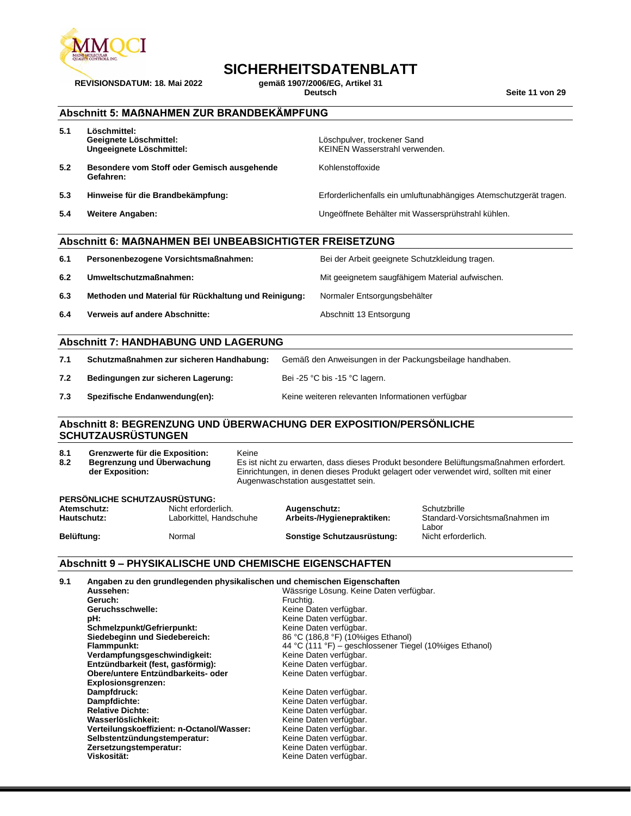

# **SICHERHEITSDATENBLATT**<br>gemäß 1907/2006/EG, Artikel 31

**REVISIONSDATUM: 18. Mai 2022 gemäß 1907/2006/EG, Artikel 31**

 $Seite 11$  **von 29** 

### **Abschnitt 5: MAẞNAHMEN ZUR BRANDBEKÄMPFUNG**

| 5.1 | Löschmittel:<br>Geeignete Löschmittel:<br>Ungeeignete Löschmittel: | Löschpulver, trockener Sand<br>KEINEN Wasserstrahl verwenden.      |
|-----|--------------------------------------------------------------------|--------------------------------------------------------------------|
| 5.2 | Besondere vom Stoff oder Gemisch ausgehende<br>Gefahren:           | Kohlenstoffoxide                                                   |
| 5.3 | Hinweise für die Brandbekämpfung:                                  | Erforderlichenfalls ein umluftunabhängiges Atemschutzgerät tragen. |
| 5.4 | <b>Weitere Angaben:</b>                                            | Ungeöffnete Behälter mit Wassersprühstrahl kühlen.                 |

#### **Abschnitt 6: MAẞNAHMEN BEI UNBEABSICHTIGTER FREISETZUNG**

| 6.1 | Personenbezogene Vorsichtsmaßnahmen:                 | Bei der Arbeit geeignete Schutzkleidung tragen. |
|-----|------------------------------------------------------|-------------------------------------------------|
| 6.2 | Umweltschutzmaßnahmen:                               | Mit geeignetem saugfähigem Material aufwischen. |
| 6.3 | Methoden und Material für Rückhaltung und Reinigung: | Normaler Entsorgungsbehälter                    |
| 6.4 | Verweis auf andere Abschnitte:                       | Abschnitt 13 Entsorgung                         |

#### **Abschnitt 7: HANDHABUNG UND LAGERUNG**

| 7.1 Schutzmaßnahmen zur sicheren Handhabung: Gemäß den Anweisungen in der Packungsbeilage handhaben. |  |
|------------------------------------------------------------------------------------------------------|--|
|------------------------------------------------------------------------------------------------------|--|

**7.2 Bedingungen zur sicheren Lagerung:** Bei -25 °C bis -15 °C lagern.

**7.3 Spezifische Endanwendung(en):** Keine weiteren relevanten Informationen verfügbar

#### **Abschnitt 8: BEGRENZUNG UND ÜBERWACHUNG DER EXPOSITION/PERSÖNLICHE SCHUTZAUSRÜSTUNGEN**

| 8.1<br>Grenzwerte für die Exposition:<br>8.2<br>Begrenzung und Überwachung<br>der Exposition: |                               |                                                | Keine<br>Es ist nicht zu erwarten, dass dieses Produkt besondere Belüftungsmaßnahmen erfordert.<br>Einrichtungen, in denen dieses Produkt gelagert oder verwendet wird, sollten mit einer<br>Augenwaschstation ausgestattet sein. |                                            |                                                |
|-----------------------------------------------------------------------------------------------|-------------------------------|------------------------------------------------|-----------------------------------------------------------------------------------------------------------------------------------------------------------------------------------------------------------------------------------|--------------------------------------------|------------------------------------------------|
|                                                                                               | PERSÖNLICHE SCHUTZAUSRÜSTUNG: |                                                |                                                                                                                                                                                                                                   |                                            |                                                |
| Atemschutz:<br>Hautschutz:                                                                    |                               | Nicht erforderlich.<br>Laborkittel, Handschuhe |                                                                                                                                                                                                                                   | Augenschutz:<br>Arbeits-/Hygienepraktiken: | Schutzbrille<br>Standard-Vorsichtsmaßnahmen im |

# Belüftung: Normal **Sonstige Schutzausrüstung:** Normal **Sonstige Schutzausrüstung**:

Labor<br>Nicht erforderlich.

#### **Abschnitt 9 – PHYSIKALISCHE UND CHEMISCHE EIGENSCHAFTEN**

| 9.1 | Angaben zu den grundlegenden physikalischen und chemischen Eigenschaften |                                                         |
|-----|--------------------------------------------------------------------------|---------------------------------------------------------|
|     | Aussehen:                                                                | Wässrige Lösung. Keine Daten verfügbar.                 |
|     | Geruch:                                                                  | Fruchtig.                                               |
|     | Geruchsschwelle:                                                         | Keine Daten verfügbar.                                  |
|     | pH:                                                                      | Keine Daten verfügbar.                                  |
|     | Schmelzpunkt/Gefrierpunkt:                                               | Keine Daten verfügbar.                                  |
|     | Siedebeginn und Siedebereich:                                            | 86 °C (186,8 °F) (10%iges Ethanol)                      |
|     | Flammpunkt:                                                              | 44 °C (111 °F) – geschlossener Tiegel (10%iges Ethanol) |
|     | Verdampfungsgeschwindigkeit:                                             | Keine Daten verfügbar.                                  |
|     | Entzündbarkeit (fest, gasförmig):                                        | Keine Daten verfügbar.                                  |
|     | Obere/untere Entzündbarkeits- oder                                       | Keine Daten verfügbar.                                  |
|     | Explosionsgrenzen:                                                       |                                                         |
|     | Dampfdruck:                                                              | Keine Daten verfügbar.                                  |
|     | Dampfdichte:                                                             | Keine Daten verfügbar.                                  |
|     | <b>Relative Dichte:</b>                                                  | Keine Daten verfügbar.                                  |
|     | Wasserlöslichkeit:                                                       | Keine Daten verfügbar.                                  |
|     | Verteilungskoeffizient: n-Octanol/Wasser:                                | Keine Daten verfügbar.                                  |
|     | Selbstentzündungstemperatur:                                             | Keine Daten verfügbar.                                  |
|     | Zersetzungstemperatur:                                                   | Keine Daten verfügbar.                                  |
|     | Viskosität:                                                              | Keine Daten verfügbar.                                  |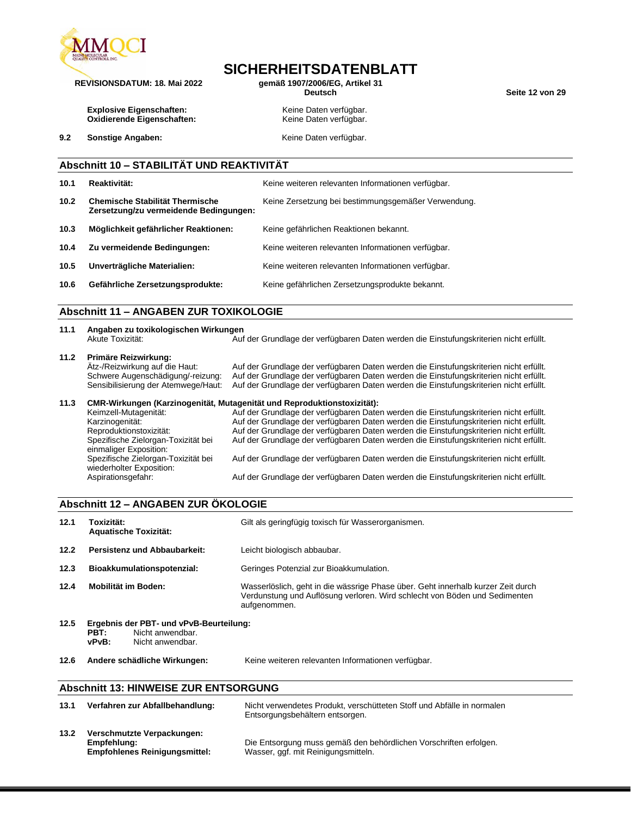

# **SICHERHEITSDATENBLATT**

**REVISIONSDATUM: 18. Mai 2022 gemäß 1907/2006/EG, Artikel 31**

 $Seite$  12 von 29

**Explosive Eigenschaften:** Keine Daten verfügbar.<br> **Oxidierende Eigenschaften:** Keine Daten verfügbar. **Oxidierende Eigenschaften:** 

**9.2 Sonstige Angaben: Keine Daten verfügbar. Keine Daten verfügbar.** 

## **Abschnitt 10 – STABILITÄT UND REAKTIVITÄT**

| 10.1 | Reaktivität:                                                                     | Keine weiteren relevanten Informationen verfügbar.  |
|------|----------------------------------------------------------------------------------|-----------------------------------------------------|
| 10.2 | <b>Chemische Stabilität Thermische</b><br>Zersetzung/zu vermeidende Bedingungen: | Keine Zersetzung bei bestimmungsgemäßer Verwendung. |
| 10.3 | Möglichkeit gefährlicher Reaktionen:                                             | Keine gefährlichen Reaktionen bekannt.              |
| 10.4 | Zu vermeidende Bedingungen:                                                      | Keine weiteren relevanten Informationen verfügbar.  |
| 10.5 | Unverträgliche Materialien:                                                      | Keine weiteren relevanten Informationen verfügbar.  |
| 10.6 | Gefährliche Zersetzungsprodukte:                                                 | Keine gefährlichen Zersetzungsprodukte bekannt.     |

#### **Abschnitt 11 – ANGABEN ZUR TOXIKOLOGIE**

| 11.1 | Angaben zu toxikologischen Wirkungen |                                                                                        |  |  |
|------|--------------------------------------|----------------------------------------------------------------------------------------|--|--|
|      | Akute Toxizität:                     | Auf der Grundlage der verfügbaren Daten werden die Einstufungskriterien nicht erfüllt. |  |  |
| 11.2 | Primäre Reizwirkung:                 |                                                                                        |  |  |
|      | Ätz-/Reizwirkung auf die Haut:       | Auf der Grundlage der verfügbaren Daten werden die Einstufungskriterien nicht erfüllt. |  |  |

Schwere Augenschädigung/-reizung: Auf der Grundlage der verfügbaren Daten werden die Einstufungskriterien nicht erfüllt. Sensibilisierung der Atemwege/Haut: Auf der Grundlage der verfügbaren Daten werden die Einstufungskriterien nicht erfüllt.

#### **11.3 CMR-Wirkungen (Karzinogenität, Mutagenität und Reproduktionstoxizität):**

| Keimzell-Mutagenität:                                           | Auf der Grundlage der verfügbaren Daten werden die Einstufungskriterien nicht erfüllt. |
|-----------------------------------------------------------------|----------------------------------------------------------------------------------------|
| Karzinogenität:                                                 | Auf der Grundlage der verfügbaren Daten werden die Einstufungskriterien nicht erfüllt. |
| Reproduktionstoxizität:                                         | Auf der Grundlage der verfügbaren Daten werden die Einstufungskriterien nicht erfüllt. |
| Spezifische Zielorgan-Toxizität bei<br>einmaliger Exposition:   | Auf der Grundlage der verfügbaren Daten werden die Einstufungskriterien nicht erfüllt. |
| Spezifische Zielorgan-Toxizität bei<br>wiederholter Exposition: | Auf der Grundlage der verfügbaren Daten werden die Einstufungskriterien nicht erfüllt. |
| Aspirationsgefahr:                                              | Auf der Grundlage der verfügbaren Daten werden die Einstufungskriterien nicht erfüllt. |

#### **Abschnitt 12 – ANGABEN ZUR ÖKOLOGIE**

| 12.1 | Toxizität:<br><b>Aquatische Toxizität:</b>                                                       | Gilt als geringfügig toxisch für Wasserorganismen.                                                                                                                             |  |
|------|--------------------------------------------------------------------------------------------------|--------------------------------------------------------------------------------------------------------------------------------------------------------------------------------|--|
| 12.2 | Persistenz und Abbaubarkeit:                                                                     | Leicht biologisch abbaubar.                                                                                                                                                    |  |
| 12.3 | Bioakkumulationspotenzial:                                                                       | Geringes Potenzial zur Bioakkumulation.                                                                                                                                        |  |
| 12.4 | Mobilität im Boden:                                                                              | Wasserlöslich, geht in die wässrige Phase über. Geht innerhalb kurzer Zeit durch<br>Verdunstung und Auflösung verloren. Wird schlecht von Böden und Sedimenten<br>aufgenommen. |  |
| 12.5 | Ergebnis der PBT- und vPvB-Beurteilung:<br>Nicht anwendbar.<br>PBT:<br>vPvB:<br>Nicht anwendbar. |                                                                                                                                                                                |  |
| 12.6 | Andere schädliche Wirkungen:                                                                     | Keine weiteren relevanten Informationen verfügbar.                                                                                                                             |  |

#### **Abschnitt 13: HINWEISE ZUR ENTSORGUNG**

| 13.1 | Verfahren zur Abfallbehandlung:                                                   | Nicht verwendetes Produkt, verschütteten Stoff und Abfälle in normalen<br>Entsorgungsbehältern entsorgen. |
|------|-----------------------------------------------------------------------------------|-----------------------------------------------------------------------------------------------------------|
| 13.2 | Verschmutzte Verpackungen:<br>Empfehlung:<br><b>Empfohlenes Reinigungsmittel:</b> | Die Entsorgung muss gemäß den behördlichen Vorschriften erfolgen.<br>Wasser, ggf. mit Reinigungsmitteln.  |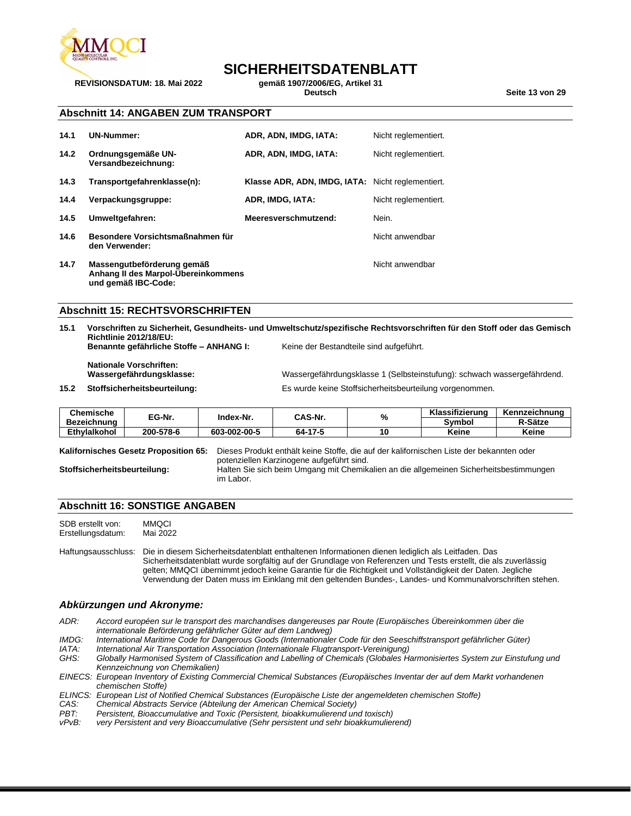

# **SICHERHEITSDATENBLATT**

**REVISIONSDATUM: 18. Mai 2022 gemäß 1907/2006/EG, Artikel 31 Deutsch Seite 13 von 29**

#### **Abschnitt 14: ANGABEN ZUM TRANSPORT**

| 14.1 | <b>UN-Nummer:</b>                                                                        | ADR, ADN, IMDG, IATA:                             | Nicht reglementiert. |
|------|------------------------------------------------------------------------------------------|---------------------------------------------------|----------------------|
| 14.2 | Ordnungsgemäße UN-<br>Versandbezeichnung:                                                | ADR, ADN, IMDG, IATA:                             | Nicht reglementiert. |
| 14.3 | Transportgefahrenklasse(n):                                                              | Klasse ADR, ADN, IMDG, IATA: Nicht reglementiert. |                      |
| 14.4 | Verpackungsgruppe:                                                                       | ADR, IMDG, IATA:                                  | Nicht reglementiert. |
| 14.5 | Umweltgefahren:                                                                          | Meeresverschmutzend:                              | Nein.                |
| 14.6 | Besondere Vorsichtsmaßnahmen für<br>den Verwender:                                       |                                                   | Nicht anwendbar      |
| 14.7 | Massengutbeförderung gemäß<br>Anhang II des Marpol-Ubereinkommens<br>und gemäß IBC-Code: |                                                   | Nicht anwendbar      |

#### **Abschnitt 15: RECHTSVORSCHRIFTEN**

| 15.1 | Vorschriften zu Sicherheit, Gesundheits- und Umweltschutz/spezifische Rechtsvorschriften für den Stoff oder das Gemisch<br><b>Richtlinie 2012/18/EU:</b> |                                         |                                                                         |               |
|------|----------------------------------------------------------------------------------------------------------------------------------------------------------|-----------------------------------------|-------------------------------------------------------------------------|---------------|
|      | Benannte gefährliche Stoffe - ANHANG I:                                                                                                                  | Keine der Bestandteile sind aufgeführt. |                                                                         |               |
|      | <b>Nationale Vorschriften:</b><br>Wassergefährdungsklasse:                                                                                               |                                         | Wassergefährdungsklasse 1 (Selbsteinstufung): schwach wassergefährdend. |               |
| 15.2 | Stoffsicherheitsbeurteilung:                                                                                                                             |                                         | Es wurde keine Stoffsicherheitsbeurteilung vorgenommen.                 |               |
|      | Chemische                                                                                                                                                |                                         | Klassifizierung                                                         | Kennzeichnung |

| Chemische           | -^<br>EG-Nr. | Index-Nr.    | CAS-Nr. | o, | Klassifizierung | Kennzeichnung |
|---------------------|--------------|--------------|---------|----|-----------------|---------------|
| Bezeichnung         |              |              |         | 7٥ | Svmbo           | R-Sätze       |
| <b>Ethvlalkohol</b> | 200-578-6    | 603-002-00-5 | 64-17-5 | 10 | Keine           | Keine         |

**Kalifornisches Gesetz Proposition 65:** Dieses Produkt enthält keine Stoffe, die auf der kalifornischen Liste der bekannten oder potenziellen Karzinogene aufgeführt sind. **Stoffsicherheitsbeurteilung:** Halten Sie sich beim Umgang mit Chemikalien an die allgemeinen Sicherheitsbestimmungen im Labor.

#### **Abschnitt 16: SONSTIGE ANGABEN**

SDB erstellt von: MMQCI<br>Erstellungsdatum: Mai 2022 Erstellungsdatum:

Haftungsausschluss: Die in diesem Sicherheitsdatenblatt enthaltenen Informationen dienen lediglich als Leitfaden. Das Sicherheitsdatenblatt wurde sorgfältig auf der Grundlage von Referenzen und Tests erstellt, die als zuverlässig gelten; MMQCI übernimmt jedoch keine Garantie für die Richtigkeit und Vollständigkeit der Daten. Jegliche Verwendung der Daten muss im Einklang mit den geltenden Bundes-, Landes- und Kommunalvorschriften stehen.

#### *Abkürzungen und Akronyme:*

*ADR: Accord européen sur le transport des marchandises dangereuses par Route (Europäisches Übereinkommen über die internationale Beförderung gefährlicher Güter auf dem Landweg)*

- *IMDG: International Maritime Code for Dangerous Goods (Internationaler Code für den Seeschiffstransport gefährlicher Güter) IATA: International Air Transportation Association (Internationale Flugtransport-Vereinigung)*
- *GHS: Globally Harmonised System of Classification and Labelling of Chemicals (Globales Harmonisiertes System zur Einstufung und Kennzeichnung von Chemikalien)*
- *EINECS: European Inventory of Existing Commercial Chemical Substances (Europäisches Inventar der auf dem Markt vorhandenen chemischen Stoffe)*
- *ELINCS: European List of Notified Chemical Substances (Europäische Liste der angemeldeten chemischen Stoffe)*
- *CAS: Chemical Abstracts Service (Abteilung der American Chemical Society)*
- Persistent, Bioaccumulative and Toxic (Persistent, bioakkumulierend und toxisch)
- *vPvB: very Persistent and very Bioaccumulative (Sehr persistent und sehr bioakkumulierend)*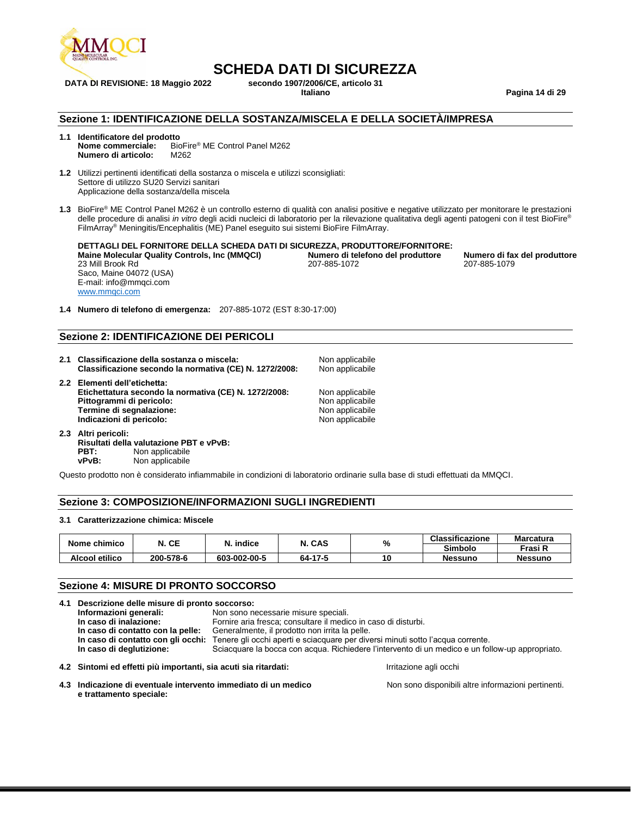

**DATA DI REVISIONE: 18 Maggio 2022 secondo 1907/2006/CE, articolo 31**

**Italiano Pagina 14 di 29**

#### **Sezione 1: IDENTIFICAZIONE DELLA SOSTANZA/MISCELA E DELLA SOCIETÀ/IMPRESA**

- **1.1 Identificatore del prodotto** BioFire<sup>®</sup> ME Control Panel M262 **Numero di articolo:** M262
- **1.2** Utilizzi pertinenti identificati della sostanza o miscela e utilizzi sconsigliati: Settore di utilizzo SU20 Servizi sanitari Applicazione della sostanza/della miscela
- **1.3** BioFire® ME Control Panel M262 è un controllo esterno di qualità con analisi positive e negative utilizzato per monitorare le prestazioni delle procedure di analisi *in vitro* degli acidi nucleici di laboratorio per la rilevazione qualitativa degli agenti patogeni con il test BioFire® FilmArray® Meningitis/Encephalitis (ME) Panel eseguito sui sistemi BioFire FilmArray.

**DETTAGLI DEL FORNITORE DELLA SCHEDA DATI DI SICUREZZA, PRODUTTORE/FORNITORE:**

**Maine Molecular Quality Controls, Inc (MMQCI) Numero di telefono del produttore Numero di fax del produttore** 23 Mill Brook Rd Saco, Maine 04072 (USA) E-mail: info@mmqci.com [www.mmqci.com](http://www.mmqci.com/)

207-885-1072 207-885-1079

**1.4 Numero di telefono di emergenza:** 207-885-1072 (EST 8:30-17:00)

#### **Sezione 2: IDENTIFICAZIONE DEI PERICOLI**

- **2.1 Classificazione della sostanza o miscela:** Non applicabile **Classificazione secondo la normativa (CE) N. 1272/2008:**
- **2.2 Elementi dell'etichetta: Etichettatura secondo la normativa (CE) N. 1272/2008:** Non applicabile<br>**Pittogrammi di pericolo:** Non applicabile **Pittogrammi di pericolo: Termine di segnalazione:** Non applicabile<br> **Indicazioni di pericolo:** Non applicabile<br>
Non applicabile **Indicazioni di pericolo:**
- **2.3 Altri pericoli: Risultati della valutazione PBT e vPvB: PBT:** Non applicabile<br>vPvB: Non applicabile Non applicabile

Questo prodotto non è considerato infiammabile in condizioni di laboratorio ordinarie sulla base di studi effettuati da MMQCI.

#### **Sezione 3: COMPOSIZIONE/INFORMAZIONI SUGLI INGREDIENTI**

#### **3.1 Caratterizzazione chimica: Miscele**

| Nome chimico   | N. CE     | indice       | N. CAS  | %  | <b>Classificazione</b> | <b>Marcatura</b> |
|----------------|-----------|--------------|---------|----|------------------------|------------------|
|                |           |              |         |    | <b>Simbolo</b>         | Frasi R          |
| Alcool etilico | 200-578-6 | 603-002-00-5 | 64-17-5 | 10 | <b>Nessuno</b>         | <b>Nessuno</b>   |

#### **Sezione 4: MISURE DI PRONTO SOCCORSO**

| 4.1 Descrizione delle misure di pronto soccorso:                |                                                                |                                                                                                 |  |
|-----------------------------------------------------------------|----------------------------------------------------------------|-------------------------------------------------------------------------------------------------|--|
| Informazioni generali:                                          | Non sono necessarie misure speciali.                           |                                                                                                 |  |
| In caso di inalazione:                                          | Fornire aria fresca; consultare il medico in caso di disturbi. |                                                                                                 |  |
| In caso di contatto con la pelle:                               | Generalmente, il prodotto non irrita la pelle.                 |                                                                                                 |  |
| In caso di contatto con gli occhi:                              |                                                                | Tenere gli occhi aperti e sciacquare per diversi minuti sotto l'acqua corrente.                 |  |
| In caso di deglutizione:                                        |                                                                | Sciacquare la bocca con acqua. Richiedere l'intervento di un medico e un follow-up appropriato. |  |
| 4.2 Sintomi ed effetti più importanti, sia acuti sia ritardati: |                                                                | Irritazione agli occhi                                                                          |  |

**4.3 Indicazione di eventuale intervento immediato di un medico e trattamento speciale:**

Non sono disponibili altre informazioni pertinenti.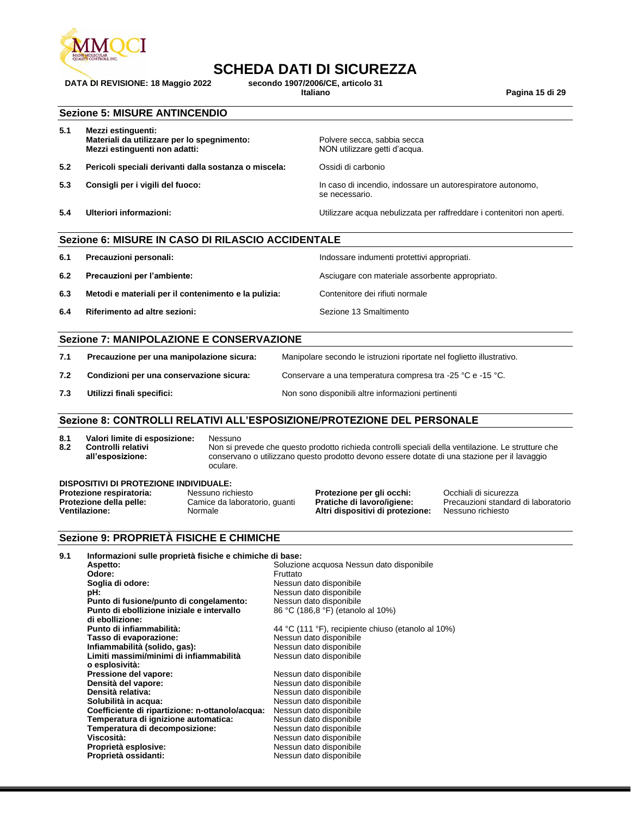

**DATA DI REVISIONE: 18 Maggio 2022 secondo 1907/2006/CE, articolo 31**

**Italiano Pagina 15 di 29**

#### **Sezione 5: MISURE ANTINCENDIO**

| 5.1 | Mezzi estinguenti:<br>Materiali da utilizzare per lo spegnimento:<br>Mezzi estinguenti non adatti: | Polvere secca, sabbia secca<br>NON utilizzare getti d'acqua.                  |
|-----|----------------------------------------------------------------------------------------------------|-------------------------------------------------------------------------------|
| 5.2 | Pericoli speciali derivanti dalla sostanza o miscela:                                              | Ossidi di carbonio                                                            |
| 5.3 | Consigli per i vigili del fuoco:                                                                   | In caso di incendio, indossare un autorespiratore autonomo,<br>se necessario. |
| 5.4 | Ulteriori informazioni:                                                                            | Utilizzare acqua nebulizzata per raffreddare i contenitori non aperti.        |

|     | Sezione 6: MISURE IN CASO DI RILASCIO ACCIDENTALE    |                                                 |  |  |
|-----|------------------------------------------------------|-------------------------------------------------|--|--|
| 6.1 | Precauzioni personali:                               | Indossare indumenti protettivi appropriati.     |  |  |
| 6.2 | Precauzioni per l'ambiente:                          | Asciugare con materiale assorbente appropriato. |  |  |
| 6.3 | Metodi e materiali per il contenimento e la pulizia: | Contenitore dei rifiuti normale                 |  |  |
| 6.4 | Riferimento ad altre sezioni:                        | Sezione 13 Smaltimento                          |  |  |
|     |                                                      |                                                 |  |  |
|     | Sezione 7: MANIPOLAZIONE E CONSERVAZIONE             |                                                 |  |  |

| 7.1 | Precauzione per una manipolazione sicura: | Manipolare secondo le istruzioni riportate nel foglietto illustrativo. |
|-----|-------------------------------------------|------------------------------------------------------------------------|
| 7.2 | Condizioni per una conservazione sicura:  | Conservare a una temperatura compresa tra -25 °C e -15 °C.             |
| 7.3 | Utilizzi finali specifici:                | Non sono disponibili altre informazioni pertinenti                     |

#### **Sezione 8: CONTROLLI RELATIVI ALL'ESPOSIZIONE/PROTEZIONE DEL PERSONALE**

**8.1 Valori limite di esposizione:** Nessuno **8.2 Controlli relativi** 

**all'esposizione:**

Non si prevede che questo prodotto richieda controlli speciali della ventilazione. Le strutture che conservano o utilizzano questo prodotto devono essere dotate di una stazione per il lavaggio oculare.

| DISPOSITIVI DI PROTEZIONE INDIVIDUALE:          |                                          |                                                                       |                                                          |  |  |  |
|-------------------------------------------------|------------------------------------------|-----------------------------------------------------------------------|----------------------------------------------------------|--|--|--|
| Protezione respiratoria:                        | Nessuno richiesto                        | Protezione per gli occhi:                                             | Occhiali di sicurezza                                    |  |  |  |
| Protezione della pelle:<br><b>Ventilazione:</b> | Camice da laboratorio, quanti<br>Normale | <b>Pratiche di lavoro/igiene:</b><br>Altri dispositivi di protezione: | Precauzioni standard di laboratorio<br>Nessuno richiesto |  |  |  |

#### **Sezione 9: PROPRIETÀ FISICHE E CHIMICHE**

| 9.1 | Informazioni sulle proprietà fisiche e chimiche di base: |                                                    |
|-----|----------------------------------------------------------|----------------------------------------------------|
|     | Aspetto:                                                 | Soluzione acquosa Nessun dato disponibile          |
|     | Odore:                                                   | Fruttato                                           |
|     | Soglia di odore:                                         | Nessun dato disponibile                            |
|     | pH:                                                      | Nessun dato disponibile                            |
|     | Punto di fusione/punto di congelamento:                  | Nessun dato disponibile                            |
|     | Punto di ebollizione iniziale e intervallo               | 86 °C (186,8 °F) (etanolo al 10%)                  |
|     | di ebollizione:                                          |                                                    |
|     | Punto di infiammabilità:                                 | 44 °C (111 °F), recipiente chiuso (etanolo al 10%) |
|     | Tasso di evaporazione:                                   | Nessun dato disponibile                            |
|     | Infiammabilità (solido, gas):                            | Nessun dato disponibile                            |
|     | Limiti massimi/minimi di infiammabilità                  | Nessun dato disponibile                            |
|     | o esplosività:                                           |                                                    |
|     | Pressione del vapore:                                    | Nessun dato disponibile                            |
|     | Densità del vapore:                                      | Nessun dato disponibile                            |
|     | Densità relativa:                                        | Nessun dato disponibile                            |
|     | Solubilità in acqua:                                     | Nessun dato disponibile                            |
|     | Coefficiente di ripartizione: n-ottanolo/acqua:          | Nessun dato disponibile                            |
|     | Temperatura di ignizione automatica:                     | Nessun dato disponibile                            |
|     | Temperatura di decomposizione:                           | Nessun dato disponibile                            |
|     | Viscosità:                                               | Nessun dato disponibile                            |
|     | Proprietà esplosive:                                     | Nessun dato disponibile                            |
|     | Proprietà ossidanti:                                     | Nessun dato disponibile                            |
|     |                                                          |                                                    |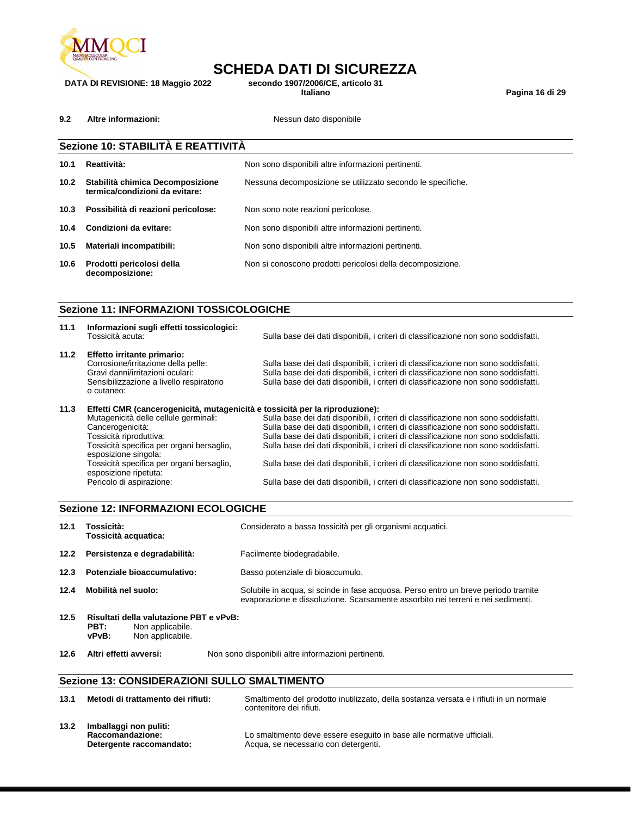

**DATA DI REVISIONE: 18 Maggio 2022 secondo 1907/2006/CE, articolo 31**

**Italiano Pagina 16 di 29**

**9.2 Altre informazioni: Nessun dato disponibile** 

|                   | Sezione 10: STABILITÀ E REATTIVITÀ                                 |                                                             |  |  |
|-------------------|--------------------------------------------------------------------|-------------------------------------------------------------|--|--|
| 10.1              | Reattività:<br>Non sono disponibili altre informazioni pertinenti. |                                                             |  |  |
| 10.2 <sub>1</sub> | Stabilità chimica Decomposizione<br>termica/condizioni da evitare: | Nessuna decomposizione se utilizzato secondo le specifiche. |  |  |
| 10.3              | Possibilità di reazioni pericolose:                                | Non sono note reazioni pericolose.                          |  |  |
| 10.4              | Condizioni da evitare:                                             | Non sono disponibili altre informazioni pertinenti.         |  |  |
| 10.5              | Materiali incompatibili:                                           | Non sono disponibili altre informazioni pertinenti.         |  |  |
| 10.6              | Prodotti pericolosi della<br>decomposizione:                       | Non si conoscono prodotti pericolosi della decomposizione.  |  |  |

#### **Sezione 11: INFORMAZIONI TOSSICOLOGICHE**

esposizione ripetuta:<br>Pericolo di aspirazione:

| 11.1 | Informazioni sugli effetti tossicologici:<br>Tossicità acuta:                                                                                                        | Sulla base dei dati disponibili, i criteri di classificazione non sono soddisfatti.                                                                                                                                                                               |
|------|----------------------------------------------------------------------------------------------------------------------------------------------------------------------|-------------------------------------------------------------------------------------------------------------------------------------------------------------------------------------------------------------------------------------------------------------------|
| 11.2 | Effetto irritante primario:<br>Corrosione/irritazione della pelle:<br>Gravi danni/irritazioni oculari:<br>Sensibilizzazione a livello respiratorio<br>o cutaneo:     | Sulla base dei dati disponibili, i criteri di classificazione non sono soddisfatti.<br>Sulla base dei dati disponibili, i criteri di classificazione non sono soddisfatti.<br>Sulla base dei dati disponibili, i criteri di classificazione non sono soddisfatti. |
| 11.3 | Effetti CMR (cancerogenicità, mutagenicità e tossicità per la riproduzione):<br>Mutagenicità delle cellule germinali:<br>Cancerogenicità:<br>Tossicità riproduttiva: | Sulla base dei dati disponibili, i criteri di classificazione non sono soddisfatti.<br>Sulla base dei dati disponibili, i criteri di classificazione non sono soddisfatti.<br>Sulla base dei dati disponibili, i criteri di classificazione non sono soddisfatti. |
|      | Tossicità specifica per organi bersaglio,<br>esposizione singola:<br>Tossicità specifica per organi bersaglio,                                                       | Sulla base dei dati disponibili, i criteri di classificazione non sono soddisfatti.<br>Sulla base dei dati disponibili, i criteri di classificazione non sono soddisfatti.                                                                                        |

Sulla base dei dati disponibili, i criteri di classificazione non sono soddisfatti.

### **Sezione 12: INFORMAZIONI ECOLOGICHE 12.1 Tossicità: Tossicità acquatica:** Considerato a bassa tossicità per gli organismi acquatici. **12.2 Persistenza e degradabilità:** Facilmente biodegradabile. **12.3 Potenziale bioaccumulativo:** Basso potenziale di bioaccumulo. **12.4 Mobilità nel suolo:** Solubile in acqua, si scinde in fase acquosa. Perso entro un breve periodo tramite evaporazione e dissoluzione. Scarsamente assorbito nei terreni e nei sedimenti. **12.5 Risultati della valutazione PBT e vPvB: PBT:** Non applicabile. **vPvB:** Non applicabile.

**12.6 Altri effetti avversi:** Non sono disponibili altre informazioni pertinenti.

#### **Sezione 13: CONSIDERAZIONI SULLO SMALTIMENTO**

| 13.1 | Metodi di trattamento dei rifiuti:                                     | Smaltimento del prodotto inutilizzato, della sostanza versata e i rifiuti in un normale<br>contenitore dei rifiuti. |
|------|------------------------------------------------------------------------|---------------------------------------------------------------------------------------------------------------------|
| 13.2 | Imballaggi non puliti:<br>Raccomandazione:<br>Detergente raccomandato: | Lo smaltimento deve essere eseguito in base alle normative ufficiali.<br>Acqua, se necessario con detergenti.       |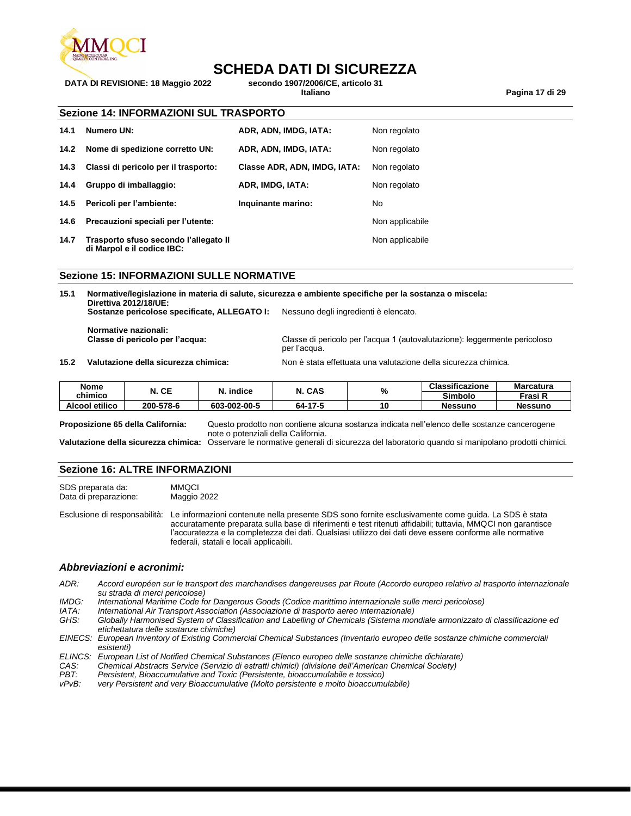

**DATA DI REVISIONE: 18 Maggio 2022 secondo 1907/2006/CE, articolo 31**

**Italiano Pagina 17 di 29**

| <b>Sezione 14: INFORMAZIONI SUL TRASPORTO</b> |  |  |  |  |  |
|-----------------------------------------------|--|--|--|--|--|
|-----------------------------------------------|--|--|--|--|--|

| 14.1 | Numero UN:                                                          | ADR, ADN, IMDG, IATA:        | Non regolato    |
|------|---------------------------------------------------------------------|------------------------------|-----------------|
| 14.2 | Nome di spedizione corretto UN:                                     | ADR, ADN, IMDG, IATA:        | Non regolato    |
| 14.3 | Classi di pericolo per il trasporto:                                | Classe ADR, ADN, IMDG, IATA: | Non regolato    |
| 14.4 | Gruppo di imballaggio:                                              | ADR, IMDG, IATA:             | Non regolato    |
|      | 14.5 Pericoli per l'ambiente:                                       | Inquinante marino:           | No.             |
| 14.6 | Precauzioni speciali per l'utente:                                  |                              | Non applicabile |
| 14.7 | Trasporto sfuso secondo l'allegato II<br>di Marpol e il codice IBC: |                              | Non applicabile |

#### **Sezione 15: INFORMAZIONI SULLE NORMATIVE**

**15.1 Normative/legislazione in materia di salute, sicurezza e ambiente specifiche per la sostanza o miscela: Direttiva 2012/18/UE: Sostanze pericolose specificate, ALLEGATO I:** Nessuno degli ingredienti è elencato.

**Normative nazionali:**

Classe di pericolo per l'acqua 1 (autovalutazione): leggermente pericoloso per l'acqua.

**15.2 Valutazione della sicurezza chimica:** Non è stata effettuata una valutazione della sicurezza chimica.

| Nome<br>chimico       | N. CE     | $\lambda$ indice | CAS     | %  | <b>Classificazione</b> | <b>Marcatura</b> |
|-----------------------|-----------|------------------|---------|----|------------------------|------------------|
|                       |           |                  |         |    | Simbolo                | Frasi R          |
| <b>Alcool etilico</b> | 200-578-6 | 603-002-00-5     | 64-17-5 | 10 | Nessuno                | <b>Nessuno</b>   |

**Proposizione 65 della California:** Questo prodotto non contiene alcuna sostanza indicata nell'elenco delle sostanze cancerogene note o potenziali della California.

**Valutazione della sicurezza chimica:** Osservare le normative generali di sicurezza del laboratorio quando si manipolano prodotti chimici.

#### **Sezione 16: ALTRE INFORMAZIONI**

SDS preparata da: MMQCI<br>Data di preparazione: Maggio 2022 Data di preparazione:

Esclusione di responsabilità: Le informazioni contenute nella presente SDS sono fornite esclusivamente come guida. La SDS è stata accuratamente preparata sulla base di riferimenti e test ritenuti affidabili; tuttavia, MMQCI non garantisce l'accuratezza e la completezza dei dati. Qualsiasi utilizzo dei dati deve essere conforme alle normative federali, statali e locali applicabili.

#### *Abbreviazioni e acronimi:*

*ADR: Accord européen sur le transport des marchandises dangereuses par Route (Accordo europeo relativo al trasporto internazionale su strada di merci pericolose)*

*IMDG: International Maritime Code for Dangerous Goods (Codice marittimo internazionale sulle merci pericolose)*

- *IATA: International Air Transport Association (Associazione di trasporto aereo internazionale)*
- *GHS: Globally Harmonised System of Classification and Labelling of Chemicals (Sistema mondiale armonizzato di classificazione ed etichettatura delle sostanze chimiche)*
- *EINECS: European Inventory of Existing Commercial Chemical Substances (Inventario europeo delle sostanze chimiche commerciali esistenti)*
- *ELINCS: European List of Notified Chemical Substances (Elenco europeo delle sostanze chimiche dichiarate)*
- *CAS: Chemical Abstracts Service (Servizio di estratti chimici) (divisione dell'American Chemical Society)*
- *Persistent, Bioaccumulative and Toxic (Persistente, bioaccumulabile e tossico)*
- *vPvB: very Persistent and very Bioaccumulative (Molto persistente e molto bioaccumulabile)*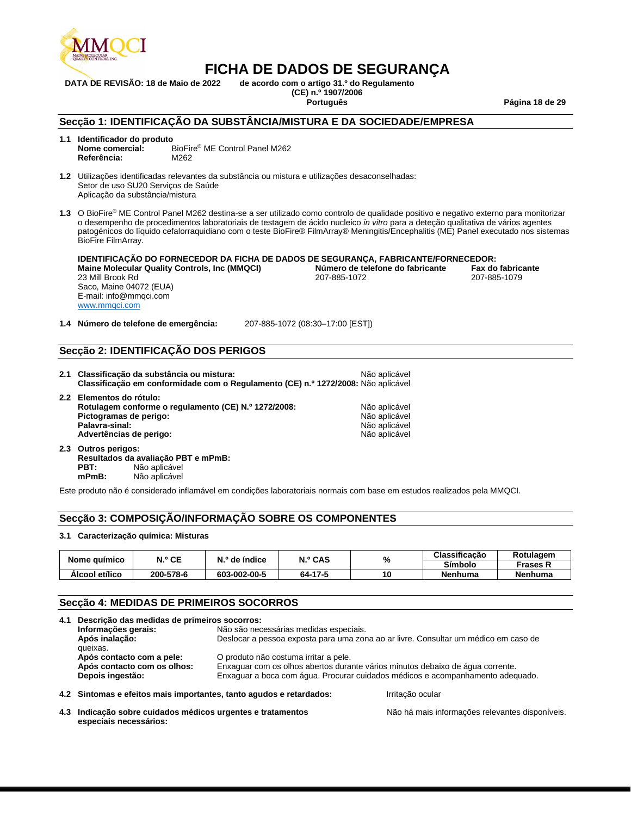

**DATA DE REVISÃO: 18 de Maio de 2022 de acordo com o artigo 31.º do Regulamento (CE) n.º 1907/2006**

**Português Página 18 de 29**

#### **Secção 1: IDENTIFICAÇÃO DA SUBSTÂNCIA/MISTURA E DA SOCIEDADE/EMPRESA**

**1.1 Identificador do produto** BioFire<sup>®</sup> ME Control Panel M262<br>M262 **Referência:** 

**1.2** Utilizações identificadas relevantes da substância ou mistura e utilizações desaconselhadas: Setor de uso SU20 Serviços de Saúde Aplicação da substância/mistura

**1.3** O BioFire® ME Control Panel M262 destina-se a ser utilizado como controlo de qualidade positivo e negativo externo para monitorizar o desempenho de procedimentos laboratoriais de testagem de ácido nucleico *in vitro* para a deteção qualitativa de vários agentes patogénicos do líquido cefalorraquidiano com o teste BioFire® FilmArray® Meningitis/Encephalitis (ME) Panel executado nos sistemas BioFire FilmArray.

| IDENTIFICAÇÃO DO FORNECEDOR DA FICHA DE DADOS DE SEGURANÇA, FABRICANTE/FORNECEDOR: |                                  |                          |  |  |
|------------------------------------------------------------------------------------|----------------------------------|--------------------------|--|--|
| <b>Maine Molecular Quality Controls, Inc (MMQCI)</b>                               | Número de telefone do fabricante | <b>Fax do fabricante</b> |  |  |
| 23 Mill Brook Rd                                                                   | 207-885-1072                     | 207-885-1079             |  |  |
| Saco, Maine 04072 (EUA)                                                            |                                  |                          |  |  |
| E-mail: info@mmgci.com                                                             |                                  |                          |  |  |
| www.mmaci.com                                                                      |                                  |                          |  |  |

**1.4 Número de telefone de emergência:** 207-885-1072 (08:30–17:00 [EST])

#### **Secção 2: IDENTIFICAÇÃO DOS PERIGOS**

| 2.1 Classificação da substância ou mistura:<br>Classificação em conformidade com o Regulamento (CE) n.º 1272/2008: Não aplicável | Não aplicável |
|----------------------------------------------------------------------------------------------------------------------------------|---------------|
| 2.2 Elementos do rótulo:<br>Rotulagem conforme o regulamento (CE) N.º 1272/2008:                                                 | Não aplicável |
| Pictogramas de perigo:                                                                                                           | Não aplicável |
| Palavra-sinal:                                                                                                                   | Não aplicável |
| Advertências de perigo:                                                                                                          | Não aplicável |

**2.3 Outros perigos: Resultados da avaliação PBT e mPmB: PBT:** Não aplicável<br> **mPmB:** Não aplicável **mPmB:** Não aplicável

Este produto não é considerado inflamável em condições laboratoriais normais com base em estudos realizados pela MMQCI.

#### **Secção 3: COMPOSIÇÃO/INFORMAÇÃO SOBRE OS COMPONENTES**

#### **3.1 Caracterização química: Misturas**

|                | N.º CE    | $No$ de índice | N.º CAS<br>% | Classificação | Rotulagem      |                |
|----------------|-----------|----------------|--------------|---------------|----------------|----------------|
| Nome químico   |           |                |              |               | <b>Símbolo</b> | Frases N       |
| Alcool etílico | 200-578-6 | 603-002-00-5   | 64-17-5      | 10            | Nenhuma        | <b>Nenhuma</b> |

#### **Secção 4: MEDIDAS DE PRIMEIROS SOCORROS**

| 4.1 | Descrição das medidas de primeiros socorros:                        |                                                                                                                         |  |  |  |
|-----|---------------------------------------------------------------------|-------------------------------------------------------------------------------------------------------------------------|--|--|--|
|     | Informações gerais:                                                 | Não são necessárias medidas especiais.                                                                                  |  |  |  |
|     | Após inalação:<br>queixas.                                          | Deslocar a pessoa exposta para uma zona ao ar livre. Consultar um médico em caso de                                     |  |  |  |
|     | Após contacto com a pele:<br>Após contacto com os olhos:            | O produto não costuma irritar a pele.<br>Enxaguar com os olhos abertos durante vários minutos debaixo de água corrente. |  |  |  |
|     | Depois ingestão:                                                    | Enxaguar a boca com água. Procurar cuidados médicos e acompanhamento adequado.                                          |  |  |  |
|     | 4.2 Sintomas e efeitos mais importantes, tanto agudos e retardados: | Irritação ocular                                                                                                        |  |  |  |

**4.3 Indicação sobre cuidados médicos urgentes e tratamentos especiais necessários:**

Não há mais informações relevantes disponíveis.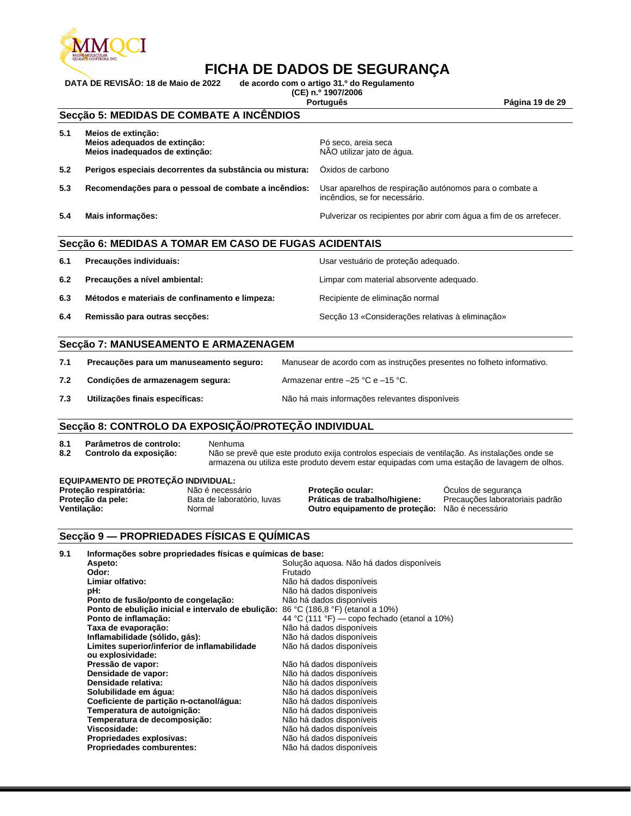

**DATA DE REVISÃO: 18 de Maio de 2022 de acordo com o artigo 31.º do Regulamento** 

**(CE) n.º 1907/2006**

**Português Página 19 de 29**

### **Secção 5: MEDIDAS DE COMBATE A INCÊNDIOS**

| 5.1 | Meios de extinção:<br>Meios adequados de extinção:<br>Meios inadequados de extinção: | Pó seco, areia seca<br>NÃO utilizar jato de água.                                        |
|-----|--------------------------------------------------------------------------------------|------------------------------------------------------------------------------------------|
| 5.2 | Perigos especiais decorrentes da substância ou mistura:                              | Oxidos de carbono                                                                        |
| 5.3 | Recomendações para o pessoal de combate a incêndios:                                 | Usar aparelhos de respiração autónomos para o combate a<br>incêndios, se for necessário. |
| 5.4 | Mais informações:                                                                    | Pulverizar os recipientes por abrir com água a fim de os arrefecer.                      |

#### **Secção 6: MEDIDAS A TOMAR EM CASO DE FUGAS ACIDENTAIS**

| 6.1 | Precauções individuais:                        | Usar vestuário de proteção adequado.             |
|-----|------------------------------------------------|--------------------------------------------------|
| 6.2 | Precauções a nível ambiental:                  | Limpar com material absorvente adequado.         |
| 6.3 | Métodos e materiais de confinamento e limpeza: | Recipiente de eliminação normal                  |
| 6.4 | Remissão para outras secções:                  | Secção 13 «Considerações relativas à eliminação» |

#### **Secção 7: MANUSEAMENTO E ARMAZENAGEM**

| 7.1 | Precauções para um manuseamento seguro: | Manusear de acordo com as instruções presentes no folheto informativo. |
|-----|-----------------------------------------|------------------------------------------------------------------------|
| 7.2 | Condições de armazenagem segura:        | Armazenar entre $-25$ °C e $-15$ °C.                                   |
| 7.3 | Utilizações finais específicas:         | Não há mais informações relevantes disponíveis                         |

#### **Secção 8: CONTROLO DA EXPOSIÇÃO/PROTEÇÃO INDIVIDUAL**

**8.1 Parâmetros de controlo:** Nenhuma

**8.2 Controlo da exposição:** Não se prevê que este produto exija controlos especiais de ventilação. As instalações onde se armazena ou utiliza este produto devem estar equipadas com uma estação de lavagem de olhos.

#### **EQUIPAMENTO DE PROTEÇÃO INDIVIDUAL:**

| Proteção respiratória: | Não é necessár   |
|------------------------|------------------|
| Proteção da pele:      | Bata de laborato |
| Ventilacão:            | Normal           |

**Proteção respiratória:** Não é necessário **Proteção ocular:** Óculos de segurança **Outro equipamento de proteção:** Não é necessário

Precauções laboratoriais padrão

#### **Secção 9 — PROPRIEDADES FÍSICAS E QUÍMICAS**

| 9.1 | Informações sobre propriedades físicas e químicas de base:                         |                                              |
|-----|------------------------------------------------------------------------------------|----------------------------------------------|
|     | Aspeto:                                                                            | Solução aguosa. Não há dados disponíveis     |
|     | Odor:                                                                              | Frutado                                      |
|     | Limiar olfativo:                                                                   | Não há dados disponíveis                     |
|     | pH:                                                                                | Não há dados disponíveis                     |
|     | Ponto de fusão/ponto de congelação:                                                | Não há dados disponíveis                     |
|     | Ponto de ebulição inicial e intervalo de ebulição: 86 °C (186,8 °F) (etanol a 10%) |                                              |
|     | Ponto de inflamação:                                                               | 44 °C (111 °F) — copo fechado (etanol a 10%) |
|     | Taxa de evaporação:                                                                | Não há dados disponíveis                     |
|     | Inflamabilidade (sólido, gás):                                                     | Não há dados disponíveis                     |
|     | Limites superior/inferior de inflamabilidade                                       | Não há dados disponíveis                     |
|     | ou explosividade:                                                                  |                                              |
|     | Pressão de vapor:                                                                  | Não há dados disponíveis                     |
|     | Densidade de vapor:                                                                | Não há dados disponíveis                     |
|     | Densidade relativa:                                                                | Não há dados disponíveis                     |
|     | Solubilidade em água:                                                              | Não há dados disponíveis                     |
|     | Coeficiente de partição n-octanol/água:                                            | Não há dados disponíveis                     |
|     | Temperatura de autoignição:                                                        | Não há dados disponíveis                     |
|     | Temperatura de decomposição:                                                       | Não há dados disponíveis                     |
|     | Viscosidade:                                                                       | Não há dados disponíveis                     |
|     | Propriedades explosivas:                                                           | Não há dados disponíveis                     |
|     | <b>Propriedades comburentes:</b>                                                   | Não há dados disponíveis                     |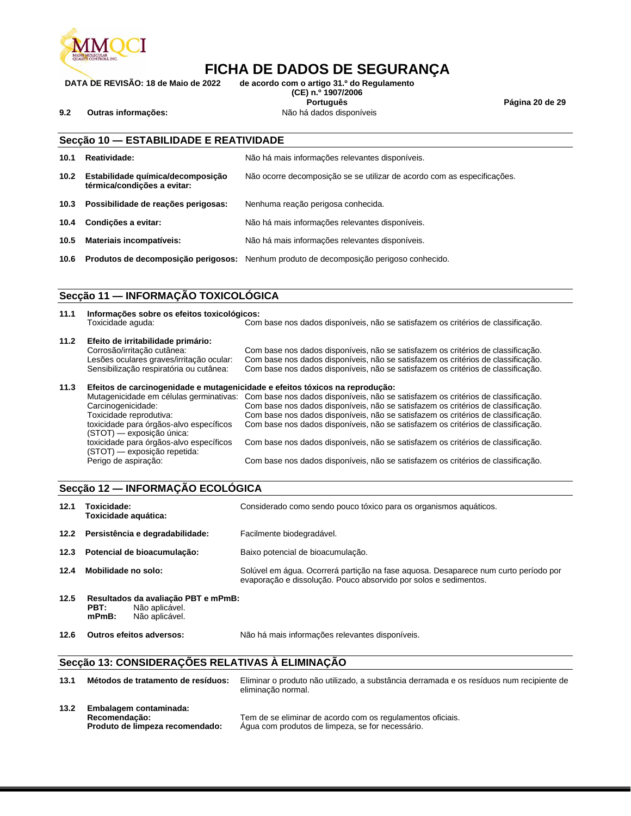

**DATA DE REVISÃO: 18 de Maio de 2022 de acordo com o artigo 31.º do Regulamento (CE) n.º 1907/2006 Português Página 20 de 29**

**9.2 Outras informações:** Não há dados disponíveis

|                   | Secção 10 - ESTABILIDADE E REATIVIDADE                           |                                                                                               |  |  |
|-------------------|------------------------------------------------------------------|-----------------------------------------------------------------------------------------------|--|--|
| 10.1              | Reatividade:                                                     | Não há mais informações relevantes disponíveis.                                               |  |  |
| 10.2 <sub>1</sub> | Estabilidade química/decomposição<br>térmica/condicões a evitar: | Não ocorre decomposição se se utilizar de acordo com as especificações.                       |  |  |
| 10.3              | Possibilidade de reações perigosas:                              | Nenhuma reação perigosa conhecida.                                                            |  |  |
| 10.4              | Condições a evitar:                                              | Não há mais informações relevantes disponíveis.                                               |  |  |
| 10.5              | Materiais incompatíveis:                                         | Não há mais informações relevantes disponíveis.                                               |  |  |
| 10.6              |                                                                  | <b>Produtos de decomposição perigosos:</b> Nenhum produto de decomposição perigoso conhecido. |  |  |

### **Secção 11 — INFORMAÇÃO TOXICOLÓGICA**

| 11.1 | Informações sobre os efeitos toxicológicos:<br>Toxicidade aquda:                                                      | Com base nos dados disponíveis, não se satisfazem os critérios de classificação.                                                                                                                                                                                                                                                                                                     |
|------|-----------------------------------------------------------------------------------------------------------------------|--------------------------------------------------------------------------------------------------------------------------------------------------------------------------------------------------------------------------------------------------------------------------------------------------------------------------------------------------------------------------------------|
| 11.2 | Efeito de irritabilidade primário:<br>Corrosão/irritação cutânea:<br>Lesões oculares graves/irritação ocular:         | Com base nos dados disponíveis, não se satisfazem os critérios de classificação.<br>Com base nos dados disponíveis, não se satisfazem os critérios de classificação.                                                                                                                                                                                                                 |
|      | Sensibilização respiratória ou cutânea:                                                                               | Com base nos dados disponíveis, não se satisfazem os critérios de classificação.                                                                                                                                                                                                                                                                                                     |
| 11.3 |                                                                                                                       | Efeitos de carcinogenidade e mutagenicidade e efeitos tóxicos na reprodução:                                                                                                                                                                                                                                                                                                         |
|      | Carcinogenicidade:<br>Toxicidade reprodutiva:<br>toxicidade para órgãos-alvo específicos<br>(STOT) — exposição única: | Mutagenicidade em células germinativas: Com base nos dados disponíveis, não se satisfazem os critérios de classificação.<br>Com base nos dados disponíveis, não se satisfazem os critérios de classificação.<br>Com base nos dados disponíveis, não se satisfazem os critérios de classificação.<br>Com base nos dados disponíveis, não se satisfazem os critérios de classificação. |
|      | toxicidade para órgãos-alvo específicos<br>(STOT) — exposição repetida:                                               | Com base nos dados disponíveis, não se satisfazem os critérios de classificação.                                                                                                                                                                                                                                                                                                     |
|      | Perigo de aspiração:                                                                                                  | Com base nos dados disponíveis, não se satisfazem os critérios de classificação.                                                                                                                                                                                                                                                                                                     |

#### **Secção 12 — INFORMAÇÃO ECOLÓGICA**

| 12.1 | Toxicidade:<br>Toxicidade aquática:                                                         | Considerado como sendo pouco tóxico para os organismos aquáticos.                                                                                       |  |  |
|------|---------------------------------------------------------------------------------------------|---------------------------------------------------------------------------------------------------------------------------------------------------------|--|--|
|      | 12.2 Persistência e degradabilidade:                                                        | Facilmente biodegradável.                                                                                                                               |  |  |
| 12.3 | Potencial de bioacumulação:                                                                 | Baixo potencial de bioacumulação.                                                                                                                       |  |  |
| 12.4 | Mobilidade no solo:                                                                         | Solúvel em água. Ocorrerá particão na fase aguosa. Desaparece num curto período por<br>evaporação e dissolução. Pouco absorvido por solos e sedimentos. |  |  |
| 12.5 | Resultados da avaliação PBT e mPmB:<br>Não aplicável.<br>PBT:<br>Não aplicável.<br>$mPmB$ : |                                                                                                                                                         |  |  |
| 12.6 | Outros efeitos adversos:                                                                    | Não há mais informações relevantes disponíveis.                                                                                                         |  |  |

## **Secção 13: CONSIDERAÇÕES RELATIVAS À ELIMINAÇÃO**

| 13.1 | Métodos de tratamento de resíduos:                                         | Eliminar o produto não utilizado, a substância derramada e os resíduos num recipiente de<br>eliminação normal. |
|------|----------------------------------------------------------------------------|----------------------------------------------------------------------------------------------------------------|
| 13.2 | Embalagem contaminada:<br>Recomendação:<br>Produto de limpeza recomendado: | Tem de se eliminar de acordo com os regulamentos oficiais.<br>Aqua com produtos de limpeza, se for necessário. |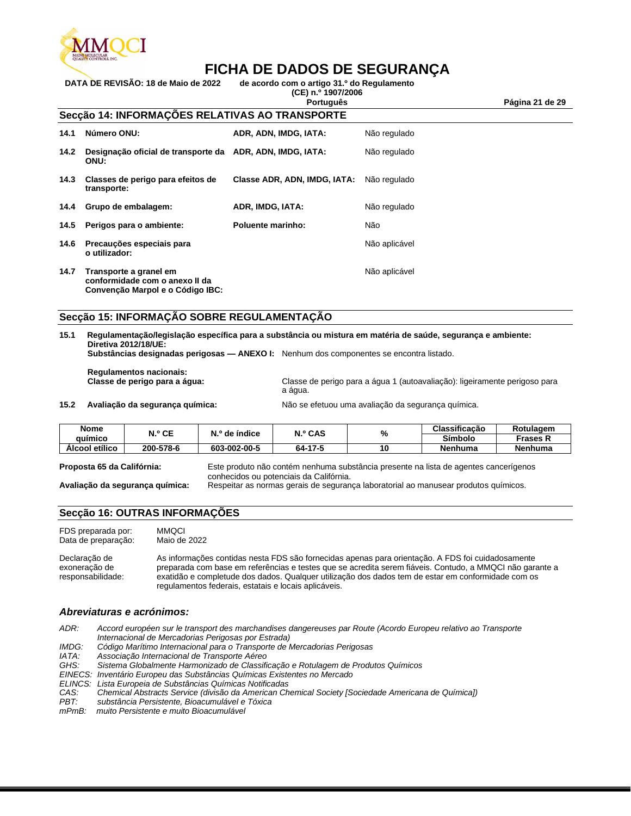

**DATA DE REVISÃO: 18 de Maio de 2022 de acordo com o artigo 31.º do Regulamento (CE) n.º 1907/2006**

**Português Página 21 de 29**

#### **Secção 14: INFORMAÇÕES RELATIVAS AO TRANSPORTE**

| 14.1 | Número ONU:                                                                                  | ADR, ADN, IMDG, IATA:        | Não regulado  |
|------|----------------------------------------------------------------------------------------------|------------------------------|---------------|
| 14.2 | Designação oficial de transporte da ADR, ADN, IMDG, IATA:<br>ONU:                            |                              | Não regulado  |
| 14.3 | Classes de perigo para efeitos de<br>transporte:                                             | Classe ADR, ADN, IMDG, IATA: | Não regulado  |
|      | 14.4 Grupo de embalagem:                                                                     | ADR, IMDG, IATA:             | Não regulado  |
| 14.5 | Perigos para o ambiente:                                                                     | Poluente marinho:            | Não           |
| 14.6 | Precauções especiais para<br>o utilizador:                                                   |                              | Não aplicável |
| 14.7 | Transporte a granel em<br>conformidade com o anexo II da<br>Convenção Marpol e o Código IBC: |                              | Não aplicável |

#### **Secção 15: INFORMAÇÃO SOBRE REGULAMENTAÇÃO**

| 15.1 Regulamentação/legislação específica para a substância ou mistura em matéria de saúde, segurança e ambiente: |
|-------------------------------------------------------------------------------------------------------------------|
| Diretiva 2012/18/UE:                                                                                              |
| Subetâncias decianados nerigosos — ANEVO L. Nonbum dos componentos ao encontro ligiodo                            |

**Substâncias designadas perigosas — ANEXO I:** Nenhum dos componentes se encontra listado.

**Regulamentos nacionais:**

Classe de perigo para a água 1 (autoavaliação): ligeiramente perigoso para a água.

**15.2 Avaliação da segurança química:** Não se efetuou uma avaliação da segurança química.

| <b>Nome</b><br>auimico | N.º CE    | N.º de índice | <b>N.º CAS</b> | O/<br>70 | Classificacão | Rotulagem       |
|------------------------|-----------|---------------|----------------|----------|---------------|-----------------|
|                        |           |               |                |          | Símbolo       | Frases <b>h</b> |
| Alcool etílico         | 200-578-6 | 603-002-00-5  | 64-17-5        | 10       | Nenhuma       | Nenhuma         |

|  | Proposta 65 da Califórnia: |  |
|--|----------------------------|--|
|  |                            |  |

**Proposta 65 da Califórnia:** Este produto não contém nenhuma substância presente na lista de agentes cancerígenos conhecidos ou potenciais da Califórnia.

**Avaliação da segurança química:** Respeitar as normas gerais de segurança laboratorial ao manusear produtos químicos.

#### **Secção 16: OUTRAS INFORMAÇÕES**

FDS preparada por: MMQCI Data de preparação: Maio de 2022

Declaração de exoneração de responsabilidade: As informações contidas nesta FDS são fornecidas apenas para orientação. A FDS foi cuidadosamente preparada com base em referências e testes que se acredita serem fiáveis. Contudo, a MMQCI não garante a exatidão e completude dos dados. Qualquer utilização dos dados tem de estar em conformidade com os regulamentos federais, estatais e locais aplicáveis.

#### *Abreviaturas e acrónimos:*

*ADR: Accord européen sur le transport des marchandises dangereuses par Route (Acordo Europeu relativo ao Transporte* 

*Internacional de Mercadorias Perigosas por Estrada)*

*IMDG: Código Marítimo Internacional para o Transporte de Mercadorias Perigosas*

*IATA: Associação Internacional de Transporte Aéreo*

*GHS: Sistema Globalmente Harmonizado de Classificação e Rotulagem de Produtos Químicos*

- *EINECS: Inventário Europeu das Substâncias Químicas Existentes no Mercado*
- *ELINCS: Lista Europeia de Substâncias Químicas Notificadas*

```
CAS: Chemical Abstracts Service (divisão da American Chemical Society [Sociedade Americana de Química])
```
*PBT: substância Persistente, Bioacumulável e Tóxica*

*mPmB: muito Persistente e muito Bioacumulável*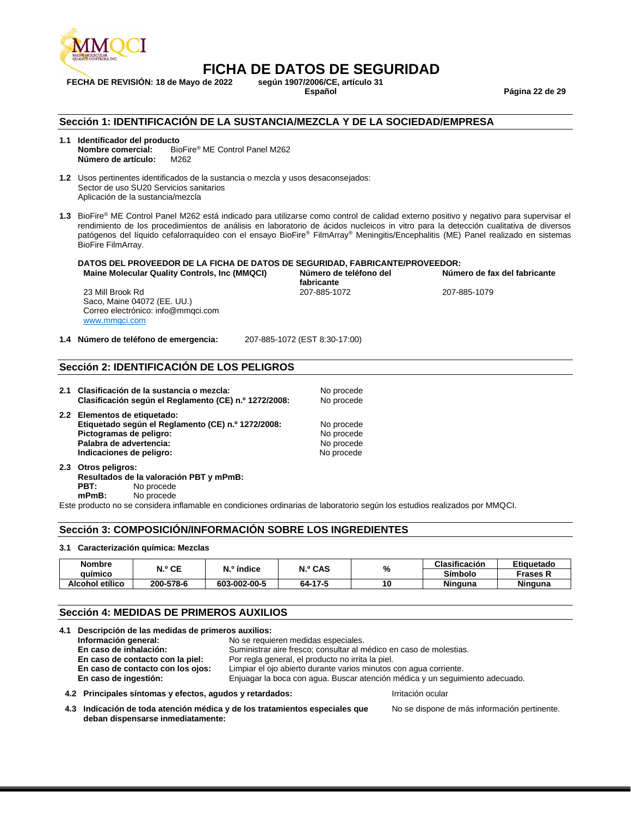

**FECHA DE REVISIÓN: 18 de Mayo de 2022 según 1907/2006/CE, artículo 31**

**Español Página 22 de 29**

#### **Sección 1: IDENTIFICACIÓN DE LA SUSTANCIA/MEZCLA Y DE LA SOCIEDAD/EMPRESA**

**1.1 Identificador del producto Nombre comercial:** BioFire® ME Control Panel M262 **Número de artículo:** M262

- **1.2** Usos pertinentes identificados de la sustancia o mezcla y usos desaconsejados: Sector de uso SU20 Servicios sanitarios Aplicación de la sustancia/mezcla
- **1.3** BioFire® ME Control Panel M262 está indicado para utilizarse como control de calidad externo positivo y negativo para supervisar el rendimiento de los procedimientos de análisis en laboratorio de ácidos nucleicos in vitro para la detección cualitativa de diversos patógenos del líquido cefalorraquídeo con el ensayo BioFire® FilmArray® Meningitis/Encephalitis (ME) Panel realizado en sistemas BioFire FilmArray.

#### **DATOS DEL PROVEEDOR DE LA FICHA DE DATOS DE SEGURIDAD, FABRICANTE/PROVEEDOR: Maine Molecular Quality Controls, Inc (MMQCI)**

23 Mill Brook Rd Saco, Maine 04072 (EE. UU.) Correo electrónico: info@mmqci.com [www.mmqci.com](http://www.mmqci.com/)

**fabricante**<br>207-885-1072

**Número de fax del fabricante** 207-885-1079

**1.4 Número de teléfono de emergencia:** 207-885-1072 (EST 8:30-17:00)

#### **Sección 2: IDENTIFICACIÓN DE LOS PELIGROS**

**2.1 Clasificación de la sustancia o mezcla:** No procede **Clasificación según el Reglamento (CE) n.º 1272/2008:** No procede **2.2 Elementos de etiquetado: Etiquetado según el Reglamento (CE) n.º 1272/2008:** No procede Pictogramas de peligro: No procede

Palabra de advertencia: No procede **Indicaciones de peligro:** No procede

**2.3 Otros peligros: Resultados de la valoración PBT y mPmB:** No procede **mPmB:** No procede

Este producto no se considera inflamable en condiciones ordinarias de laboratorio según los estudios realizados por MMQCI.

#### **Sección 3: COMPOSICIÓN/INFORMACIÓN SOBRE LOS INGREDIENTES**

#### **3.1 Caracterización química: Mezclas**

| <b>Nombre</b>   | N.º CE    | N.º índice   | N.º CAS | %  | Clasificación | Etiquetado      |
|-----------------|-----------|--------------|---------|----|---------------|-----------------|
| quimico         |           |              |         |    | Símbolo       | <b>Frases K</b> |
| Alcohol etílico | 200-578-6 | 603-002-00-5 | 64-17-5 | 10 | Ninguna       | <b>Ninguna</b>  |

#### **Sección 4: MEDIDAS DE PRIMEROS AUXILIOS**

| 4.1 Descripción de las medidas de primeros auxilios:     |                                                                              |
|----------------------------------------------------------|------------------------------------------------------------------------------|
| Información general:                                     | No se requieren medidas especiales.                                          |
| En caso de inhalación:                                   | Suministrar aire fresco; consultar al médico en caso de molestias.           |
| En caso de contacto con la piel:                         | Por regla general, el producto no irrita la piel.                            |
| En caso de contacto con los ojos:                        | Limpiar el ojo abierto durante varios minutos con agua corriente.            |
| En caso de ingestión:                                    | Enjuagar la boca con agua. Buscar atención médica y un seguimiento adecuado. |
| 4.2 Principales síntomas y efectos, agudos y retardados: | Irritación ocular                                                            |

**4.3 Indicación de toda atención médica y de los tratamientos especiales que deban dispensarse inmediatamente:**

No se dispone de más información pertinente.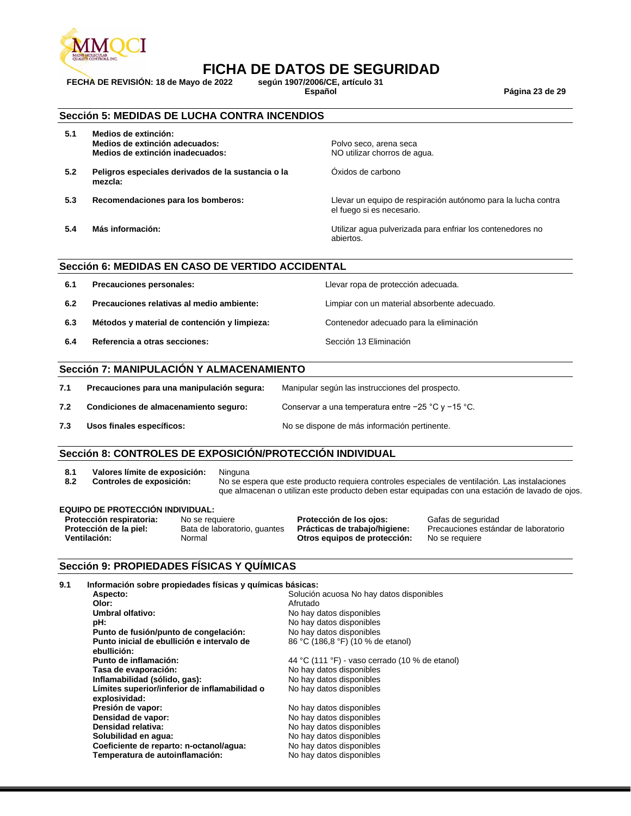

**FECHA DE REVISIÓN: 18 de Mayo de 2022 según 1907/2006/CE, artículo 31**

**Español Página 23 de 29**

#### **Sección 5: MEDIDAS DE LUCHA CONTRA INCENDIOS**

- **5.1 Medios de extinción: Medios de extinción adecuados:** <br>**Medios de extinción inadecuados:** <br>**Medios de extinción inadecuados:** <br>**Medios de aguados** <br>**Media de extinción inadecuados:** <br>**Media de extinción inadecuados:** <br>**Media de extinción inade Medios de extinción inadecuados:**
- **5.2 Peligros especiales derivados de la sustancia o la mezcla:**
- 
- 

Óxidos de carbono

**5.3 Recomendaciones para los bomberos:** Llevar un equipo de respiración autónomo para la lucha contra el fuego si es necesario.

**5.4 Más información:** Utilizar agua pulverizada para enfriar los contenedores no abiertos.

#### **Sección 6: MEDIDAS EN CASO DE VERTIDO ACCIDENTAL**

| 6.1 | Precauciones personales:                     | Llevar ropa de protección adecuada.          |
|-----|----------------------------------------------|----------------------------------------------|
| 6.2 | Precauciones relativas al medio ambiente:    | Limpiar con un material absorbente adecuado. |
| 6.3 | Métodos y material de contención y limpieza: | Contenedor adecuado para la eliminación      |
| 6.4 | Referencia a otras secciones:                | Sección 13 Eliminación                       |

#### **Sección 7: MANIPULACIÓN Y ALMACENAMIENTO**

| 7.1 | Precauciones para una manipulación segura: | Manipular según las instrucciones del prospecto.       |
|-----|--------------------------------------------|--------------------------------------------------------|
| 7.2 | Condiciones de almacenamiento seguro:      | Conservar a una temperatura entre $-25$ °C y $-15$ °C. |
| 7.3 | Usos finales específicos:                  | No se dispone de más información pertinente.           |

#### **Sección 8: CONTROLES DE EXPOSICIÓN/PROTECCIÓN INDIVIDUAL**

- 8.1 **Valores límite de exposición:** Ninguna<br>**8.2 Controles de exposición:** No se es
- 

No se espera que este producto requiera controles especiales de ventilación. Las instalaciones que almacenan o utilizan este producto deben estar equipadas con una estación de lavado de ojos.

#### **EQUIPO DE PROTECCIÓN INDIVIDUAL:**

**Protección respiratoria:** No se requiere **Protección de los ojos:** Gafas de seguridad<br>**Protección de la piel:** Bata de laboratorio, guantes **Prácticas de trabajo/higiene:** Precauciones están Otros equipos de protección:

**Protección de la piel:** Bata de laboratorio, guantes **Prácticas de trabajo/higiene:** Precauciones estándar de laboratorio

#### **Sección 9: PROPIEDADES FÍSICAS Y QUÍMICAS**

| 9.1 | Información sobre propiedades físicas y químicas básicas:      |                                                |
|-----|----------------------------------------------------------------|------------------------------------------------|
|     | Aspecto:                                                       | Solución acuosa No hay datos disponibles       |
|     | Olor:                                                          | Afrutado                                       |
|     | Umbral olfativo:                                               | No hay datos disponibles                       |
|     | pH:                                                            | No hay datos disponibles                       |
|     | Punto de fusión/punto de congelación:                          | No hay datos disponibles                       |
|     | Punto inicial de ebullición e intervalo de<br>ebullición:      | 86 °C (186,8 °F) (10 % de etanol)              |
|     | Punto de inflamación:                                          | 44 °C (111 °F) - vaso cerrado (10 % de etanol) |
|     | Tasa de evaporación:                                           | No hay datos disponibles                       |
|     | Inflamabilidad (sólido, gas):                                  | No hay datos disponibles                       |
|     | Límites superior/inferior de inflamabilidad o<br>explosividad: | No hay datos disponibles                       |
|     | Presión de vapor:                                              | No hay datos disponibles                       |
|     | Densidad de vapor:                                             | No hay datos disponibles                       |
|     | Densidad relativa:                                             | No hay datos disponibles                       |
|     | Solubilidad en agua:                                           | No hay datos disponibles                       |
|     | Coeficiente de reparto: n-octanol/agua:                        | No hay datos disponibles                       |
|     | Temperatura de autoinflamación:                                | No hay datos disponibles                       |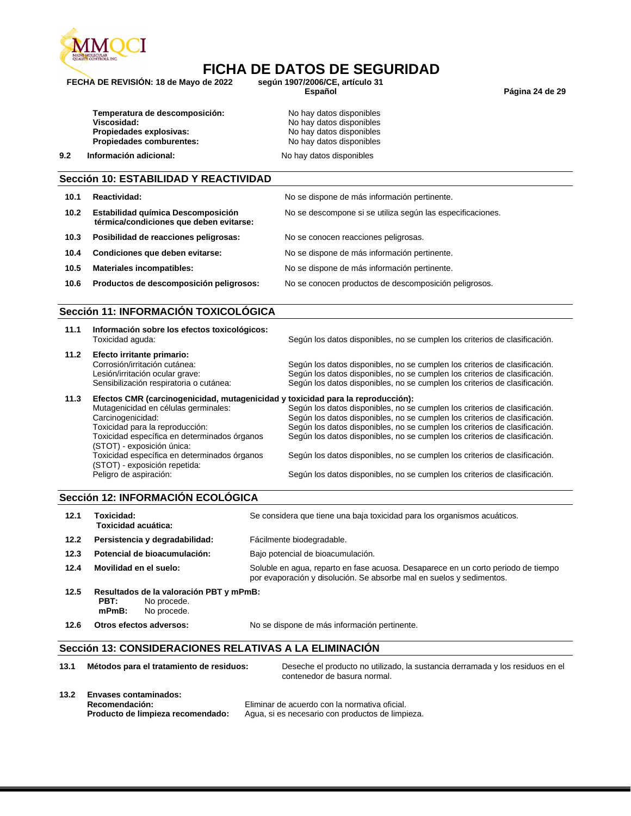

**FECHA DE REVISIÓN: 18 de Mayo de 2022 según 1907/2006/CE, artículo 31**

**Español Página 24 de 29**

| Temperatura de descomposición:  |
|---------------------------------|
| Viscosidad:                     |
| Propiedades explosivas:         |
| <b>Propiedades comburentes:</b> |
|                                 |

- No hay datos disponibles **Viscosidad:** No hay datos disponibles No hay datos disponibles **Propiedades comburentes:** No hay datos disponibles
- **9.2 Información adicional: No hay datos disponibles**

#### **Sección 10: ESTABILIDAD Y REACTIVIDAD**

| 10.1 | Reactividad:                                                                  | No se dispone de más información pertinente.               |
|------|-------------------------------------------------------------------------------|------------------------------------------------------------|
| 10.2 | Estabilidad química Descomposición<br>térmica/condiciones que deben evitarse: | No se descompone si se utiliza según las especificaciones. |
| 10.3 | Posibilidad de reacciones peligrosas:                                         | No se conocen reacciones peligrosas.                       |
| 10.4 | Condiciones que deben evitarse:                                               | No se dispone de más información pertinente.               |
| 10.5 | <b>Materiales incompatibles:</b>                                              | No se dispone de más información pertinente.               |
| 10.6 | Productos de descomposición peligrosos:                                       | No se conocen productos de descomposición peligrosos.      |

#### **Sección 11: INFORMACIÓN TOXICOLÓGICA**

| 11.1 | Información sobre los efectos toxicológicos:<br>Toxicidad aguda:                                                                                                           | Según los datos disponibles, no se cumplen los criterios de clasificación.                                                                                                                                                                                                                                           |
|------|----------------------------------------------------------------------------------------------------------------------------------------------------------------------------|----------------------------------------------------------------------------------------------------------------------------------------------------------------------------------------------------------------------------------------------------------------------------------------------------------------------|
| 11.2 | Efecto irritante primario:<br>Corrosión/irritación cutánea:<br>Lesión/irritación ocular grave:<br>Sensibilización respiratoria o cutánea:                                  | Según los datos disponibles, no se cumplen los criterios de clasificación.<br>Según los datos disponibles, no se cumplen los criterios de clasificación.<br>Según los datos disponibles, no se cumplen los criterios de clasificación.                                                                               |
| 11.3 | Efectos CMR (carcinogenicidad, mutagenicidad y toxicidad para la reproducción):                                                                                            |                                                                                                                                                                                                                                                                                                                      |
|      | Mutagenicidad en células germinales:<br>Carcinogenicidad:<br>Toxicidad para la reproducción:<br>Toxicidad específica en determinados órganos<br>(STOT) - exposición única: | Según los datos disponibles, no se cumplen los criterios de clasificación.<br>Según los datos disponibles, no se cumplen los criterios de clasificación.<br>Según los datos disponibles, no se cumplen los criterios de clasificación.<br>Según los datos disponibles, no se cumplen los criterios de clasificación. |
|      | Toxicidad específica en determinados órganos<br>(STOT) - exposición repetida:                                                                                              | Según los datos disponibles, no se cumplen los criterios de clasificación.                                                                                                                                                                                                                                           |
|      | Peligro de aspiración:                                                                                                                                                     | Según los datos disponibles, no se cumplen los criterios de clasificación.                                                                                                                                                                                                                                           |

#### **Sección 12: INFORMACIÓN ECOLÓGICA**

| 12.1 | Toxicidad:<br>Toxicidad acuática:                                                         | Se considera que tiene una baja toxicidad para los organismos acuáticos.                                                                                  |
|------|-------------------------------------------------------------------------------------------|-----------------------------------------------------------------------------------------------------------------------------------------------------------|
| 12.2 | Persistencia y degradabilidad:                                                            | Fácilmente biodegradable.                                                                                                                                 |
| 12.3 | Potencial de bioacumulación:                                                              | Bajo potencial de bioacumulación.                                                                                                                         |
| 12.4 | Movilidad en el suelo:                                                                    | Soluble en agua, reparto en fase acuosa. Desaparece en un corto periodo de tiempo<br>por evaporación y disolución. Se absorbe mal en suelos y sedimentos. |
| 12.5 | Resultados de la valoración PBT y mPmB:<br>No procede.<br>PBT:<br>$mPmB$ :<br>No procede. |                                                                                                                                                           |

**12.6 Otros efectos adversos:** No se dispone de más información pertinente.

#### **Sección 13: CONSIDERACIONES RELATIVAS A LA ELIMINACIÓN**

| 13.1 | Métodos para el tratamiento de residuos:                                            | Deseche el producto no utilizado, la sustancia derramada y los residuos en el<br>contenedor de basura normal. |
|------|-------------------------------------------------------------------------------------|---------------------------------------------------------------------------------------------------------------|
| 13.2 | <b>Envases contaminados:</b><br>Recomendación:<br>Producto de limpieza recomendado: | Eliminar de acuerdo con la normativa oficial.<br>Agua, si es necesario con productos de limpieza.             |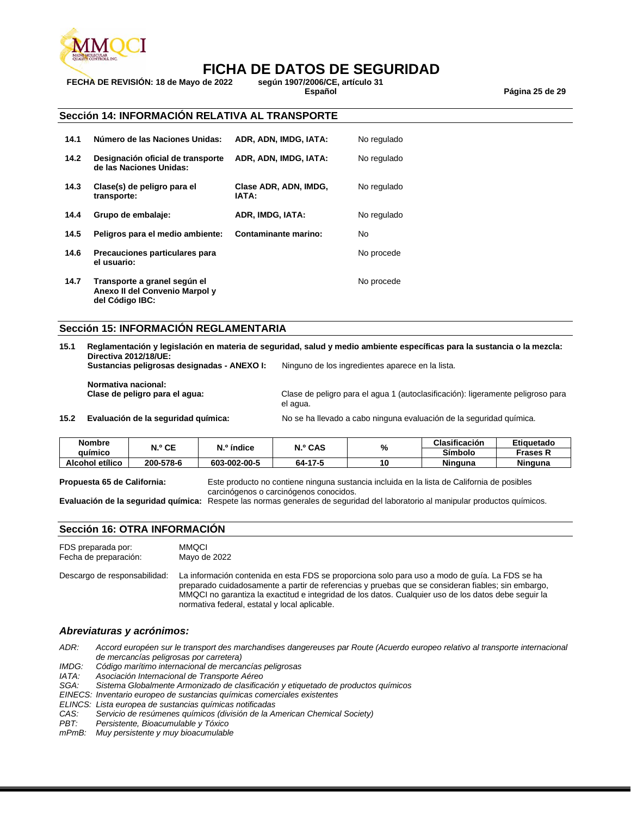

**FECHA DE REVISIÓN: 18 de Mayo de 2022 según 1907/2006/CE, artículo 31**

**Español Página 25 de 29**

#### **Sección 14: INFORMACIÓN RELATIVA AL TRANSPORTE**

| 14.1 | Número de las Naciones Unidas:                                                    | ADR. ADN. IMDG. IATA:          | No regulado    |
|------|-----------------------------------------------------------------------------------|--------------------------------|----------------|
| 14.2 | Designación oficial de transporte<br>de las Naciones Unidas:                      | ADR, ADN, IMDG, IATA:          | No regulado    |
| 14.3 | Clase(s) de peligro para el<br>transporte:                                        | Clase ADR, ADN, IMDG,<br>IATA: | No regulado    |
| 14.4 | Grupo de embalaje:                                                                | ADR. IMDG. IATA:               | No regulado    |
| 14.5 | Peligros para el medio ambiente:                                                  | Contaminante marino:           | N <sub>0</sub> |
| 14.6 | Precauciones particulares para<br>el usuario:                                     |                                | No procede     |
| 14.7 | Transporte a granel según el<br>Anexo II del Convenio Marpol y<br>del Código IBC: |                                | No procede     |

#### **Sección 15: INFORMACIÓN REGLAMENTARIA**

| 15.1 | Directiva 2012/18/UE:                       | Reglamentación y legislación en materia de seguridad, salud y medio ambiente específicas para la sustancia o la mezcla: |  |  |
|------|---------------------------------------------|-------------------------------------------------------------------------------------------------------------------------|--|--|
|      | Sustancias peligrosas designadas - ANEXO I: | Ninguno de los ingredientes aparece en la lista.                                                                        |  |  |
|      | Normativa nacional:                         |                                                                                                                         |  |  |
|      | Clase de peligro para el agua:              | Clase de peligro para el agua 1 (autoclasificación): ligeramente peligroso para<br>el agua.                             |  |  |
| 15.2 | Evaluación de la seguridad guímica:         | No se ha llevado a cabo ninguna evaluación de la seguridad química.                                                     |  |  |

| <b>Nombre</b><br>auímico | N.º CE    | $No$ índice  | <b>N.º CAS</b> | %  | Clasificación | Etiquetado     |
|--------------------------|-----------|--------------|----------------|----|---------------|----------------|
|                          |           |              |                |    | Símbolo       | Frases K       |
| Alcohol etílico          | 200-578-6 | 603-002-00-5 | 64-17-5        | 10 | Ninguna       | <b>Ninguna</b> |

**Propuesta 65 de California:** Este producto no contiene ninguna sustancia incluida en la lista de California de posibles carcinógenos o carcinógenos conocidos.

**Evaluación de la seguridad química:** Respete las normas generales de seguridad del laboratorio al manipular productos químicos.

#### **Sección 16: OTRA INFORMACION**

| FDS preparada por:           | <b>MMOCI</b>                                                                                                                                                                                                                                                                                                                                                  |
|------------------------------|---------------------------------------------------------------------------------------------------------------------------------------------------------------------------------------------------------------------------------------------------------------------------------------------------------------------------------------------------------------|
| Fecha de preparación:        | Mayo de 2022                                                                                                                                                                                                                                                                                                                                                  |
| Descargo de responsabilidad: | La información contenida en esta FDS se proporciona solo para uso a modo de quía. La FDS se ha<br>preparado cuidadosamente a partir de referencias y pruebas que se consideran fiables; sin embargo,<br>MMQCI no garantiza la exactitud e integridad de los datos. Cualquier uso de los datos debe seguir la<br>normativa federal, estatal y local aplicable. |

#### *Abreviaturas y acrónimos:*

*ADR: Accord européen sur le transport des marchandises dangereuses par Route (Acuerdo europeo relativo al transporte internacional de mercancías peligrosas por carretera)*

*IMDG: Código marítimo internacional de mercancías peligrosas*

*IATA: Asociación Internacional de Transporte Aéreo*

Sistema Globalmente Armonizado de clasificación y etiquetado de productos químicos

- *EINECS: Inventario europeo de sustancias químicas comerciales existentes*
- *ELINCS: Lista europea de sustancias químicas notificadas*
- *CAS: Servicio de resúmenes químicos (división de la American Chemical Society)*

*PBT: Persistente, Bioacumulable y Tóxico*

*mPmB: Muy persistente y muy bioacumulable*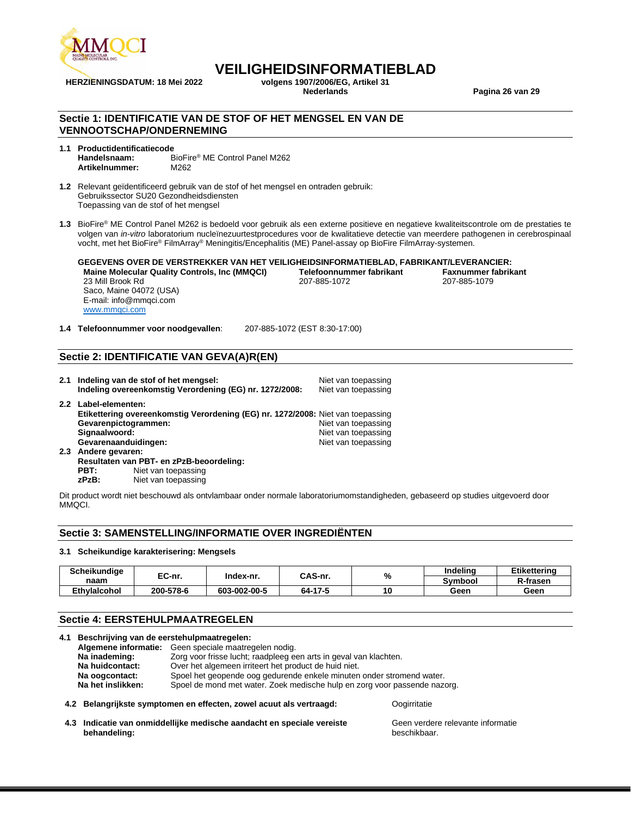

# **VEILIGHEIDSINFORMATIEBLAD**<br>volgens 1907/2006/EG. Artikel 31

**HERZIENINGSDATUM: 18 Mei 2022 volgens 1907/2006/EG, Artikel 31**

**Nederlands Pagina 26 van 29**

#### **Sectie 1: IDENTIFICATIE VAN DE STOF OF HET MENGSEL EN VAN DE VENNOOTSCHAP/ONDERNEMING**

#### **1.1 Productidentificatiecode Handelsnaam:** BioFire® ME Control Panel M262 **Artikelnummer:** M262

- **1.2** Relevant geïdentificeerd gebruik van de stof of het mengsel en ontraden gebruik: Gebruikssector SU20 Gezondheidsdiensten Toepassing van de stof of het mengsel
- **1.3** BioFire® ME Control Panel M262 is bedoeld voor gebruik als een externe positieve en negatieve kwaliteitscontrole om de prestaties te volgen van *in-vitro* laboratorium nucleïnezuurtestprocedures voor de kwalitatieve detectie van meerdere pathogenen in cerebrospinaal vocht, met het BioFire® FilmArray® Meningitis/Encephalitis (ME) Panel-assay op BioFire FilmArray-systemen.

#### **GEGEVENS OVER DE VERSTREKKER VAN HET VEILIGHEIDSINFORMATIEBLAD, FABRIKANT/LEVERANCIER: Maine Molecular Quality Controls, Inc (MMQCI)** 23 Mill Brook Rd 207-885-1072 207-885-1079

Saco, Maine 04072 (USA) E-mail: info@mmqci.com [www.mmqci.com](http://www.mmqci.com/)

**1.4 Telefoonnummer voor noodgevallen**: 207-885-1072 (EST 8:30-17:00)

## **Sectie 2: IDENTIFICATIE VAN GEVA(A)R(EN)**

|                      | 2.1 Indeling van de stof of het mengsel:<br>Indeling overeenkomstig Verordening (EG) nr. 1272/2008: | Niet van toepassing<br>Niet van toepassing |
|----------------------|-----------------------------------------------------------------------------------------------------|--------------------------------------------|
| 2.2 Label-elementen: |                                                                                                     |                                            |
|                      | Etikettering overeenkomstig Verordening (EG) nr. 1272/2008: Niet van toepassing                     |                                            |
| Gevarenpictogrammen: |                                                                                                     | Niet van toepassing                        |
| Signaalwoord:        |                                                                                                     | Niet van toepassing                        |
| Gevarenaanduidingen: |                                                                                                     | Niet van toepassing                        |
| 2.3 Andere gevaren:  |                                                                                                     |                                            |
|                      | Resultaten van PBT- en zPzB-beoordeling:                                                            |                                            |
| PBT:                 | Niet van toepassing                                                                                 |                                            |
|                      |                                                                                                     |                                            |

**zPzB:** Niet van toepassing

Dit product wordt niet beschouwd als ontvlambaar onder normale laboratoriumomstandigheden, gebaseerd op studies uitgevoerd door MMQCI.

#### **Sectie 3: SAMENSTELLING/INFORMATIE OVER INGREDIËNTEN**

#### **3.1 Scheikundige karakterisering: Mengsels**

| <b>Scheikundiae</b> | EC-nr.    |              | CAS-nr. | % | Indelina | Etikettering |
|---------------------|-----------|--------------|---------|---|----------|--------------|
| naam                |           | Index-nr.    |         |   | Symbool  | R-frasen     |
| <b>Ethvlaicohol</b> | 200-578-6 | 603-002-00-5 | 64-17-5 |   | Geen     | Geen         |

#### **Sectie 4: EERSTEHULPMAATREGELEN**

| 4.1 | Beschrijving van de eerstehulpmaatregelen: |                                                                           |
|-----|--------------------------------------------|---------------------------------------------------------------------------|
|     |                                            | Algemene informatie: Geen speciale maatregelen nodig.                     |
|     | Na inademing:                              | Zorg voor frisse lucht; raadpleeg een arts in geval van klachten.         |
|     | Na huidcontact:                            | Over het algemeen irriteert het product de huid niet.                     |
|     | Na oogcontact:                             | Spoel het geopende oog gedurende enkele minuten onder stromend water.     |
|     | Na het inslikken:                          | Spoel de mond met water. Zoek medische hulp en zorg voor passende nazorg. |
|     |                                            |                                                                           |

#### **4.2 Belangrijkste symptomen en effecten, zowel acuut als vertraagd:** Oogirritatie

**4.3 Indicatie van onmiddellijke medische aandacht en speciale vereiste behandeling:**

Geen verdere relevante informatie beschikbaar.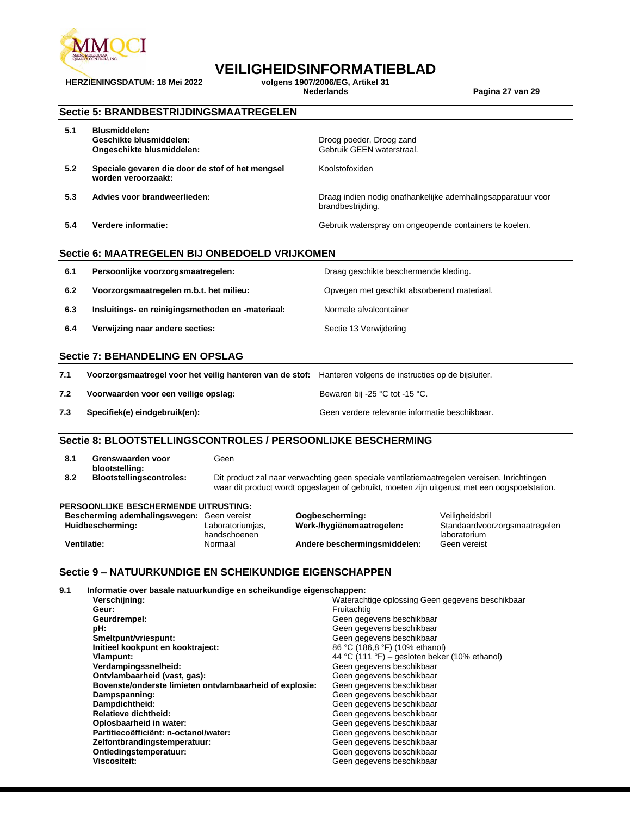

# **VEILIGHEIDSINFORMATIEBLAD**

Koolstofoxiden

brandbestrijding.

**HERZIENINGSDATUM: 18 Mei 2022 volgens 1907/2006/EG, Artikel 31**

**Nederlands Pagina 27 van 29**

|  |  | <b>Sectie 5: BRANDBESTRIJDINGSMAATREGELEN</b> |  |
|--|--|-----------------------------------------------|--|
|--|--|-----------------------------------------------|--|

| 5.1 | <b>Blusmiddelen:</b> |  |
|-----|----------------------|--|
|     | Geschikte blusmidde  |  |

- **Geschikte blusmiddelen:** Droog poeder, Droog zand **Ongeschikte blusmiddelen:**
- **5.2 Speciale gevaren die door de stof of het mengsel worden veroorzaakt:**
- **5.3 Advies voor brandweerlieden:** Draag indien nodig onafhankelijke ademhalingsapparatuur voor

**5.4 Verdere informatie:** Gebruik waterspray om ongeopende containers te koelen.

#### **Sectie 6: MAATREGELEN BIJ ONBEDOELD VRIJKOMEN**

| 6.1 | Persoonlijke voorzorgsmaatregelen:                | Draag geschikte beschermende kleding.       |
|-----|---------------------------------------------------|---------------------------------------------|
| 6.2 | Voorzorgsmaatregelen m.b.t. het milieu:           | Opvegen met geschikt absorberend materiaal. |
| 6.3 | Insluitings- en reinigingsmethoden en -materiaal: | Normale afvalcontainer                      |
| 6.4 | Verwijzing naar andere secties:                   | Sectie 13 Verwijdering                      |

#### **Sectie 7: BEHANDELING EN OPSLAG**

| 7.1 | Voorzorgsmaatregel voor het veilig hanteren van de stof: Hanteren volgens de instructies op de bijsluiter. |                                                |
|-----|------------------------------------------------------------------------------------------------------------|------------------------------------------------|
| 7.2 | Voorwaarden voor een veilige opslag:                                                                       | Bewaren bij -25 °C tot -15 °C.                 |
| 7.3 | Specifiek(e) eindgebruik(en):                                                                              | Geen verdere relevante informatie beschikbaar. |

#### **Sectie 8: BLOOTSTELLINGSCONTROLES / PERSOONLIJKE BESCHERMING**

|     | Grenswaarden voor<br>blootstelling: | Geen                                                                                                                                                                                         |
|-----|-------------------------------------|----------------------------------------------------------------------------------------------------------------------------------------------------------------------------------------------|
| 8.2 | <b>Blootstellingscontroles:</b>     | Dit product zal naar verwachting geen speciale ventilatiemaatregelen vereisen. Inrichtingen<br>waar dit product wordt opgeslagen of gebruikt, moeten zijn uitgerust met een oogspoelstation. |

#### **PERSOONLIJKE BESCHERMENDE UITRUSTING:**

| Bescherming ademhalingswegen: Geen vereist |                  | Oogbes  |
|--------------------------------------------|------------------|---------|
| Huidbescherming:                           | Laboratoriumias. | Werk-/h |
|                                            | handschoenen     |         |
| Ventilatie:                                | Normaal          | Andere  |

**Berming:** Veiligheidsbril<br>**biogrammalingsweist Christ Standaardvoo beschermingsmiddelen:** 

Standaardvoorzorgsmaatregelen laboratorium<br>Geen vereist

#### **Sectie 9 – NATUURKUNDIGE EN SCHEIKUNDIGE EIGENSCHAPPEN**

| 9.1 | Informatie over basale natuurkundige en scheikundige eigenschappen: |                                                  |
|-----|---------------------------------------------------------------------|--------------------------------------------------|
|     | Verschijning:                                                       | Waterachtige oplossing Geen gegevens beschikbaar |
|     | Geur:                                                               | Fruitachtig                                      |
|     | Geurdrempel:                                                        | Geen gegevens beschikbaar                        |
|     | pH:                                                                 | Geen gegevens beschikbaar                        |
|     | Smeltpunt/vriespunt:                                                | Geen gegevens beschikbaar                        |
|     | Initieel kookpunt en kooktraject:                                   | 86 °C (186,8 °F) (10% ethanol)                   |
|     | Vlampunt:                                                           | 44 °C (111 °F) – gesloten beker (10% ethanol)    |
|     | Verdampingssnelheid:                                                | Geen gegevens beschikbaar                        |
|     | Ontvlambaarheid (vast, gas):                                        | Geen gegevens beschikbaar                        |
|     | Bovenste/onderste limieten ontvlambaarheid of explosie:             | Geen gegevens beschikbaar                        |
|     | Dampspanning:                                                       | Geen gegevens beschikbaar                        |
|     | Dampdichtheid:                                                      | Geen gegevens beschikbaar                        |
|     | <b>Relatieve dichtheid:</b>                                         | Geen gegevens beschikbaar                        |
|     | Oplosbaarheid in water:                                             | Geen gegevens beschikbaar                        |
|     | Partitiecoëfficiënt: n-octanol/water:                               | Geen gegevens beschikbaar                        |
|     | Zelfontbrandingstemperatuur:                                        | Geen gegevens beschikbaar                        |
|     | Ontledingstemperatuur:                                              | Geen gegevens beschikbaar                        |
|     | Viscositeit:                                                        | Geen gegevens beschikbaar                        |
|     |                                                                     |                                                  |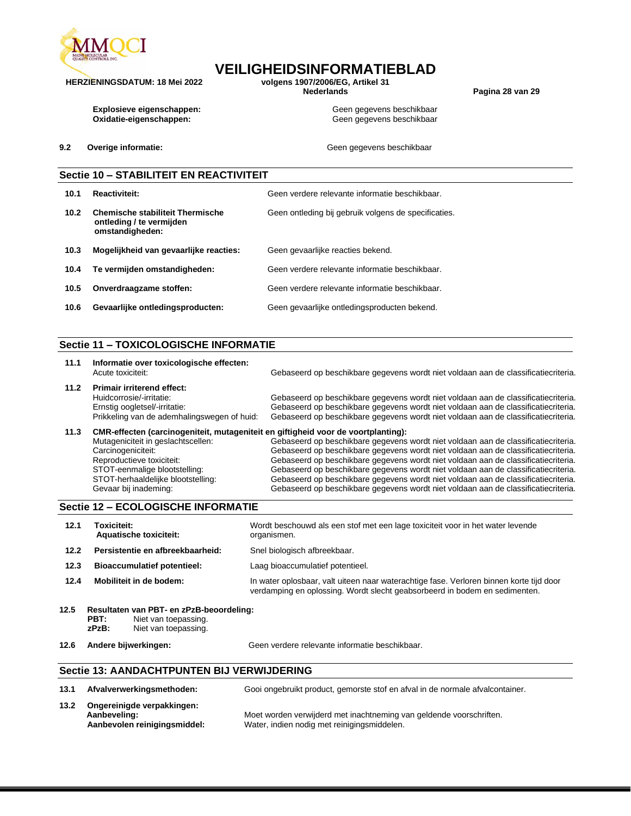

# **VEILIGHEIDSINFORMATIEBLAD**

**HERZIENINGSDATUM: 18 Mei 2022 volgens 1907/2006/EG, Artikel 31**

**Nederlands Pagina 28 van 29**

**Explosieve eigenschappen:** Geen gegevens beschikbaar **Oxidatie-eigenschappen:** Geen gegevens beschikbaar

**9.2 Overige informatie: Geen gegevens beschikbaar Geen gegevens beschikbaar** 

### **Sectie 10 – STABILITEIT EN REACTIVITEIT**

| 10.1 | Reactiviteit:                                                                          | Geen verdere relevante informatie beschikbaar.       |
|------|----------------------------------------------------------------------------------------|------------------------------------------------------|
| 10.2 | <b>Chemische stabiliteit Thermische</b><br>ontleding / te vermijden<br>omstandigheden: | Geen ontleding bij gebruik volgens de specificaties. |
| 10.3 | Mogelijkheid van gevaarlijke reacties:                                                 | Geen gevaarlijke reacties bekend.                    |
| 10.4 | Te vermijden omstandigheden:                                                           | Geen verdere relevante informatie beschikbaar.       |
| 10.5 | Onverdraagzame stoffen:                                                                | Geen verdere relevante informatie beschikbaar.       |
| 10.6 | Gevaarlijke ontledingsproducten:                                                       | Geen gevaarlijke ontledingsproducten bekend.         |

#### **Sectie 11 – TOXICOLOGISCHE INFORMATIE**

| 11.1 | Informatie over toxicologische effecten:<br>Acute toxiciteit:                                  | Gebaseerd op beschikbare gegevens wordt niet voldaan aan de classificatiecriteria.                                                                                       |
|------|------------------------------------------------------------------------------------------------|--------------------------------------------------------------------------------------------------------------------------------------------------------------------------|
| 11.2 | <b>Primair irriterend effect:</b><br>Huidcorrosie/-irritatie:<br>Ernstig oogletsel/-irritatie: | Gebaseerd op beschikbare gegevens wordt niet voldaan aan de classificatiecriteria.<br>Gebaseerd op beschikbare gegevens wordt niet voldaan aan de classificatiecriteria. |
|      | Prikkeling van de ademhalingswegen of huid:                                                    | Gebaseerd op beschikbare gegevens wordt niet voldaan aan de classificatiecriteria.                                                                                       |

#### **11.3 CMR-effecten (carcinogeniteit, mutageniteit en giftigheid voor de voortplanting):** Mutageniciteit in geslachtscellen: Carcinogeniciteit: Reproductieve toxiciteit: STOT-eenmalige blootstelling: STOT-herhaaldelijke blootstelling: Gevaar bij inademing: Gebaseerd op beschikbare gegevens wordt niet voldaan aan de classificatiecriteria. Gebaseerd op beschikbare gegevens wordt niet voldaan aan de classificatiecriteria. Gebaseerd op beschikbare gegevens wordt niet voldaan aan de classificatiecriteria. Gebaseerd op beschikbare gegevens wordt niet voldaan aan de classificatiecriteria. Gebaseerd op beschikbare gegevens wordt niet voldaan aan de classificatiecriteria. Gebaseerd op beschikbare gegevens wordt niet voldaan aan de classificatiecriteria.

#### **Sectie 12 – ECOLOGISCHE INFORMATIE**

| 12.1 | <b>Toxiciteit:</b><br><b>Aquatische toxiciteit:</b> | Wordt beschouwd als een stof met een lage toxiciteit voor in het water levende<br>organismen.                                                                         |
|------|-----------------------------------------------------|-----------------------------------------------------------------------------------------------------------------------------------------------------------------------|
| 12.2 | Persistentie en afbreekbaarheid:                    | Snel biologisch afbreekbaar.                                                                                                                                          |
| 12.3 | <b>Bioaccumulatief potentieel:</b>                  | Laag bioaccumulatief potentieel.                                                                                                                                      |
| 12.4 | Mobiliteit in de bodem:                             | In water oplosbaar, valt uiteen naar waterachtige fase. Verloren binnen korte tijd door<br>verdamping en oplossing. Wordt slecht geabsorbeerd in bodem en sedimenten. |

- **12.5 Resultaten van PBT- en zPzB-beoordeling: PBT:** Niet van toepassing.<br>**zPzB:** Niet van toepassing. Niet van toepassing.
- 

**12.6 Andere bijwerkingen:** Geen verdere relevante informatie beschikbaar.

#### **Sectie 13: AANDACHTPUNTEN BIJ VERWIJDERING**

| 13.1 | Afvalverwerkingsmethoden:                                                  | Gooi ongebruikt product, gemorste stof en afval in de normale afvalcontainer.                                      |
|------|----------------------------------------------------------------------------|--------------------------------------------------------------------------------------------------------------------|
| 13.2 | Ongereinigde verpakkingen:<br>Aanbeveling:<br>Aanbevolen reinigingsmiddel: | Moet worden verwijderd met inachtneming van geldende voorschriften.<br>Water, indien nodig met reinigingsmiddelen. |